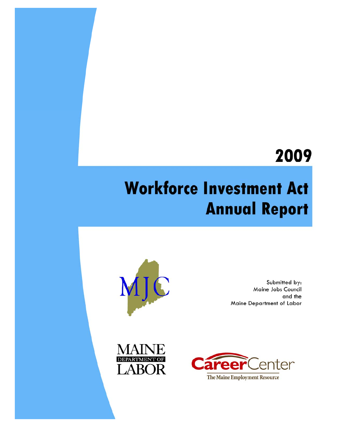## 2009

# **Workforce Investment Act Annual Report**



Submitted by: Maine Jobs Council and the Maine Department of Labor



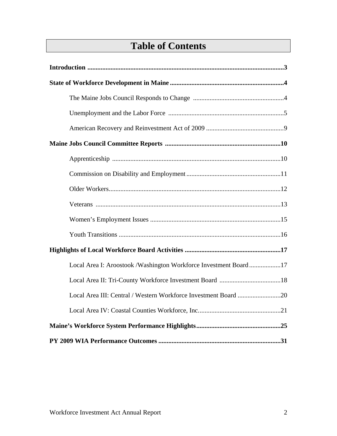## **Table of Contents**

| Local Area I: Aroostook /Washington Workforce Investment Board17 |
|------------------------------------------------------------------|
|                                                                  |
| Local Area III: Central / Western Workforce Investment Board 20  |
|                                                                  |
|                                                                  |
|                                                                  |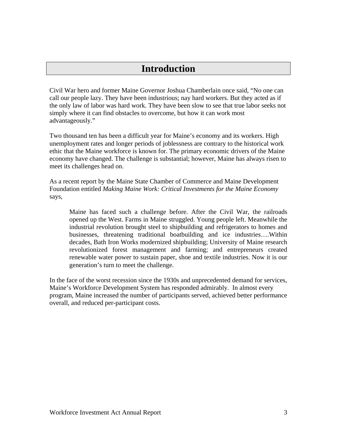## **Introduction**

Civil War hero and former Maine Governor Joshua Chamberlain once said, "No one can call our people lazy. They have been industrious; nay hard workers. But they acted as if the only law of labor was hard work. They have been slow to see that true labor seeks not simply where it can find obstacles to overcome, but how it can work most advantageously."

Two thousand ten has been a difficult year for Maine's economy and its workers. High unemployment rates and longer periods of joblessness are contrary to the historical work ethic that the Maine workforce is known for. The primary economic drivers of the Maine economy have changed. The challenge is substantial; however, Maine has always risen to meet its challenges head on.

As a recent report by the Maine State Chamber of Commerce and Maine Development Foundation entitled *Making Maine Work: Critical Investments for the Maine Economy* says,

Maine has faced such a challenge before. After the Civil War, the railroads opened up the West. Farms in Maine struggled. Young people left. Meanwhile the industrial revolution brought steel to shipbuilding and refrigerators to homes and businesses, threatening traditional boatbuilding and ice industries….Within decades, Bath Iron Works modernized shipbuilding; University of Maine research revolutionized forest management and farming; and entrepreneurs created renewable water power to sustain paper, shoe and textile industries. Now it is our generation's turn to meet the challenge.

In the face of the worst recession since the 1930s and unprecedented demand for services, Maine's Workforce Development System has responded admirably. In almost every program, Maine increased the number of participants served, achieved better performance overall, and reduced per-participant costs.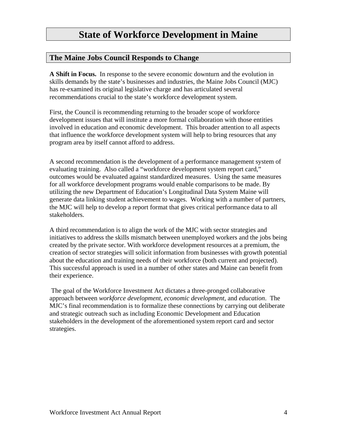#### **The Maine Jobs Council Responds to Change**

**A Shift in Focus.** In response to the severe economic downturn and the evolution in skills demands by the state's businesses and industries, the Maine Jobs Council (MJC) has re-examined its original legislative charge and has articulated several recommendations crucial to the state's workforce development system.

First, the Council is recommending returning to the broader scope of workforce development issues that will institute a more formal collaboration with those entities involved in education and economic development. This broader attention to all aspects that influence the workforce development system will help to bring resources that any program area by itself cannot afford to address.

A second recommendation is the development of a performance management system of evaluating training. Also called a "workforce development system report card," outcomes would be evaluated against standardized measures. Using the same measures for all workforce development programs would enable comparisons to be made. By utilizing the new Department of Education's Longitudinal Data System Maine will generate data linking student achievement to wages. Working with a number of partners, the MJC will help to develop a report format that gives critical performance data to all stakeholders.

A third recommendation is to align the work of the MJC with sector strategies and initiatives to address the skills mismatch between unemployed workers and the jobs being created by the private sector. With workforce development resources at a premium, the creation of sector strategies will solicit information from businesses with growth potential about the education and training needs of their workforce (both current and projected). This successful approach is used in a number of other states and Maine can benefit from their experience.

 The goal of the Workforce Investment Act dictates a three-pronged collaborative approach between *workforce development*, *economic development*, and *education*. The MJC's final recommendation is to formalize these connections by carrying out deliberate and strategic outreach such as including Economic Development and Education stakeholders in the development of the aforementioned system report card and sector strategies.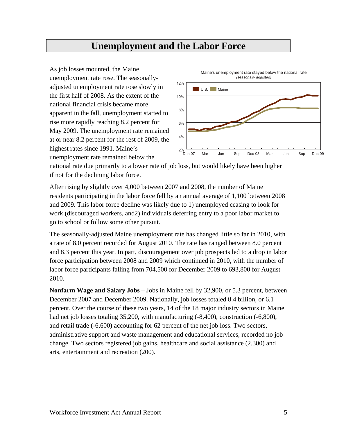## **Unemployment and the Labor Force**

As job losses mounted, the Maine unemployment rate rose. The seasonallyadjusted unemployment rate rose slowly in the first half of 2008. As the extent of the national financial crisis became more apparent in the fall, unemployment started to rise more rapidly reaching 8.2 percent for May 2009. The unemployment rate remained at or near 8.2 percent for the rest of 2009, the highest rates since 1991. Maine's unemployment rate remained below the



national rate due primarily to a lower rate of job loss, but would likely have been higher if not for the declining labor force.

After rising by slightly over 4,000 between 2007 and 2008, the number of Maine residents participating in the labor force fell by an annual average of 1,100 between 2008 and 2009. This labor force decline was likely due to 1) unemployed ceasing to look for work (discouraged workers, and2) individuals deferring entry to a poor labor market to go to school or follow some other pursuit.

The seasonally-adjusted Maine unemployment rate has changed little so far in 2010, with a rate of 8.0 percent recorded for August 2010. The rate has ranged between 8.0 percent and 8.3 percent this year. In part, discouragement over job prospects led to a drop in labor force participation between 2008 and 2009 which continued in 2010, with the number of labor force participants falling from 704,500 for December 2009 to 693,800 for August 2010.

**Nonfarm Wage and Salary Jobs –** Jobs in Maine fell by 32,900, or 5.3 percent, between December 2007 and December 2009. Nationally, job losses totaled 8.4 billion, or 6.1 percent. Over the course of these two years, 14 of the 18 major industry sectors in Maine had net job losses totaling 35,200, with manufacturing (-8,400), construction (-6,800), and retail trade (-6,600) accounting for 62 percent of the net job loss. Two sectors, administrative support and waste management and educational services, recorded no job change. Two sectors registered job gains, healthcare and social assistance (2,300) and arts, entertainment and recreation (200).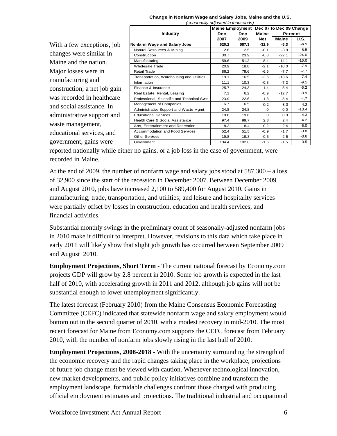#### **Change in Nonfarm Wage and Salary Jobs, Maine and the U.S.** *(seasonally adjusted in thousands)*

With a few exceptions, job changes were similar in Maine and the nation. Major losses were in manufacturing and construction; a net job gain was recorded in healthcare and social assistance. In administrative support and waste management, educational services, and government, gains were

|                                              | <b>Maine Employment</b> |            | Dec 07 to Dec 09 Change |              |         |
|----------------------------------------------|-------------------------|------------|-------------------------|--------------|---------|
| <b>Industry</b>                              | <b>Dec</b>              | <b>Dec</b> |                         | Percent      |         |
|                                              | 2007                    | 2009       | <b>Net</b>              | <b>Maine</b> | U.S.    |
| Nonfarm Wage and Salary Jobs                 | 620.2                   | 587.3      | $-32.9$                 | $-5.3$       | $-6.1$  |
| Natural Resources & Mining                   | 2.6                     | 2.5        | $-0.1$                  | $-3.8$       | $-8.5$  |
| Construction                                 | 30.7                    | 23.9       | $-6.8$                  | $-22.1$      | $-24.0$ |
| Manufacturing                                | 59.6                    | 51.2       | $-8.4$                  | $-14.1$      | $-16.0$ |
| Wholesale Trade                              | 20.9                    | 18.8       | $-2.1$                  | $-10.0$      | $-7.9$  |
| <b>Retail Trade</b>                          | 86.2                    | 79.6       | $-6.6$                  | $-7.7$       | $-7.7$  |
| Transportation, Warehousing and Utilities    | 19.1                    | 16.5       | $-2.6$                  | $-13.6$      | $-7.4$  |
| Information                                  | 11.1                    | 10.3       | $-0.8$                  | $-7.2$       | $-9.1$  |
| Finance & Insurance                          | 25.7                    | 24.3       | $-1.4$                  | $-5.4$       | $-6.2$  |
| Real Estate, Rental, Leasing                 | 7.1                     | 6.2        | $-0.9$                  | $-12.7$      | $-8.9$  |
| Professional, Scientific and Technical Svcs. | 23.9                    | 22.6       | $-1.3$                  | $-5.4$       | $-4.7$  |
| Management of Companies                      | 6.7                     | 6.5        | $-0.2$                  | $-3.0$       | $-4.2$  |
| Administrative Support and Waste Mgmt.       | 24.8                    | 24.8       | $\Omega$                | 0.0          | $-13.4$ |
| <b>Educational Services</b>                  | 19.6                    | 19.6       | $\Omega$                | 0.0          | 4.3     |
| Health Care & Social Assistance              | 97.4                    | 99.7       | 2.3                     | 2.4          | 4.2     |
| Arts, Entertainment and Recreation           | 8.2                     | 8.4        | 0.2                     | 2.4          | $-5.0$  |
| Accommodation and Food Services              | 52.4                    | 51.5       | $-0.9$                  | $-1.7$       | $-3.8$  |
| <b>Other Services</b>                        | 19.8                    | 19.3       | $-0.5$                  | $-2.5$       | $-3.6$  |
| Government                                   | 104.4                   | 102.8      | $-1.6$                  | $-1.5$       | 0.5     |

reported nationally while either no gains, or a job loss in the case of government, were recorded in Maine.

At the end of 2009, the number of nonfarm wage and salary jobs stood at 587,300 – a loss of 32,900 since the start of the recession in December 2007. Between December 2009 and August 2010, jobs have increased 2,100 to 589,400 for August 2010. Gains in manufacturing; trade, transportation, and utilities; and leisure and hospitality services were partially offset by losses in construction, education and health services, and financial activities.

Substantial monthly swings in the preliminary count of seasonally-adjusted nonfarm jobs in 2010 make it difficult to interpret. However, revisions to this data which take place in early 2011 will likely show that slight job growth has occurred between September 2009 and August 2010.

**Employment Projections, Short Term** - The current national forecast by Economy.com projects GDP will grow by 2.8 percent in 2010. Some job growth is expected in the last half of 2010, with accelerating growth in 2011 and 2012, although job gains will not be substantial enough to lower unemployment significantly.

The latest forecast (February 2010) from the Maine Consensus Economic Forecasting Committee (CEFC) indicated that statewide nonfarm wage and salary employment would bottom out in the second quarter of 2010, with a modest recovery in mid-2010. The most recent forecast for Maine from Economy.com supports the CEFC forecast from February 2010, with the number of nonfarm jobs slowly rising in the last half of 2010.

**Employment Projections, 2008-2018** - With the uncertainty surrounding the strength of the economic recovery and the rapid changes taking place in the workplace, projections of future job change must be viewed with caution. Whenever technological innovation, new market developments, and public policy initiatives combine and transform the employment landscape, formidable challenges confront those charged with producing official employment estimates and projections. The traditional industrial and occupational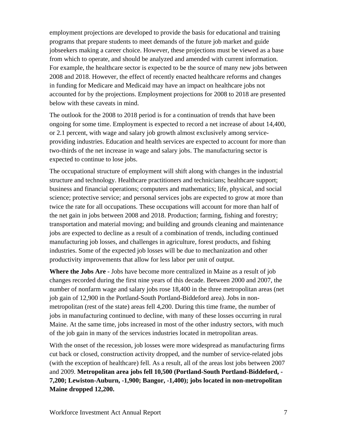employment projections are developed to provide the basis for educational and training programs that prepare students to meet demands of the future job market and guide jobseekers making a career choice. However, these projections must be viewed as a base from which to operate, and should be analyzed and amended with current information. For example, the healthcare sector is expected to be the source of many new jobs between 2008 and 2018. However, the effect of recently enacted healthcare reforms and changes in funding for Medicare and Medicaid may have an impact on healthcare jobs not accounted for by the projections. Employment projections for 2008 to 2018 are presented below with these caveats in mind.

The outlook for the 2008 to 2018 period is for a continuation of trends that have been ongoing for some time. Employment is expected to record a net increase of about 14,400, or 2.1 percent, with wage and salary job growth almost exclusively among serviceproviding industries. Education and health services are expected to account for more than two-thirds of the net increase in wage and salary jobs. The manufacturing sector is expected to continue to lose jobs.

The occupational structure of employment will shift along with changes in the industrial structure and technology. Healthcare practitioners and technicians; healthcare support; business and financial operations; computers and mathematics; life, physical, and social science; protective service; and personal services jobs are expected to grow at more than twice the rate for all occupations. These occupations will account for more than half of the net gain in jobs between 2008 and 2018. Production; farming, fishing and forestry; transportation and material moving; and building and grounds cleaning and maintenance jobs are expected to decline as a result of a combination of trends, including continued manufacturing job losses, and challenges in agriculture, forest products, and fishing industries. Some of the expected job losses will be due to mechanization and other productivity improvements that allow for less labor per unit of output.

**Where the Jobs Are** - Jobs have become more centralized in Maine as a result of job changes recorded during the first nine years of this decade. Between 2000 and 2007, the number of nonfarm wage and salary jobs rose 18,400 in the three metropolitan areas (net job gain of 12,900 in the Portland-South Portland-Biddeford area). Jobs in nonmetropolitan (rest of the state) areas fell 4,200. During this time frame, the number of jobs in manufacturing continued to decline, with many of these losses occurring in rural Maine. At the same time, jobs increased in most of the other industry sectors, with much of the job gain in many of the services industries located in metropolitan areas.

With the onset of the recession, job losses were more widespread as manufacturing firms cut back or closed, construction activity dropped, and the number of service-related jobs (with the exception of healthcare) fell. As a result, all of the areas lost jobs between 2007 and 2009. **Metropolitan area jobs fell 10,500 (Portland-South Portland-Biddeford, - 7,200; Lewiston-Auburn, -1,900; Bangor, -1,400); jobs located in non-metropolitan Maine dropped 12,200.**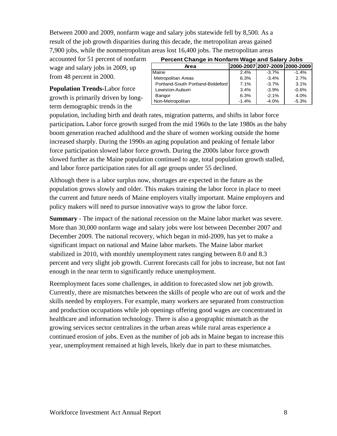Between 2000 and 2009, nonfarm wage and salary jobs statewide fell by 8,500. As a result of the job growth disparities during this decade, the metropolitan areas gained 7,900 jobs, while the nonmetropolitan areas lost 16,400 jobs. The metropolitan areas

accounted for 51 percent of nonfarm wage and salary jobs in 2009, up from 48 percent in 2000.

**Population Trends-**Labor force growth is primarily driven by longterm demographic trends in the

| <b>Percent Change in Nonfarm Wage and Salary Jobs</b> |         |         |         |  |  |  |
|-------------------------------------------------------|---------|---------|---------|--|--|--|
| 2000-2007 2007-2009 2000-2009<br>Area                 |         |         |         |  |  |  |
| Maine                                                 | 2.4%    | $-3.7%$ | $-1.4%$ |  |  |  |
| Metropolitan Areas                                    | 6.3%    | $-3.4%$ | 2.7%    |  |  |  |
| Portland-South Portland-Biddeford                     | 7.1%    | $-3.7%$ | 3.1%    |  |  |  |
| Lewiston-Auburn                                       | 3.4%    | $-3.9%$ | $-0.6%$ |  |  |  |
| Bangor                                                | 6.3%    | $-2.1%$ | 4.0%    |  |  |  |
| Non-Metropolitan                                      | $-1.4%$ | $-4.0%$ | $-5.3%$ |  |  |  |

population, including birth and death rates, migration patterns, and shifts in labor force participation**.** Labor force growth surged from the mid 1960s to the late 1980s as the baby boom generation reached adulthood and the share of women working outside the home increased sharply. During the 1990s an aging population and peaking of female labor force participation slowed labor force growth. During the 2000s labor force growth slowed further as the Maine population continued to age, total population growth stalled, and labor force participation rates for all age groups under 55 declined.

Although there is a labor surplus now, shortages are expected in the future as the population grows slowly and older. This makes training the labor force in place to meet the current and future needs of Maine employers vitally important. Maine employers and policy makers will need to pursue innovative ways to grow the labor force.

**Summary** - The impact of the national recession on the Maine labor market was severe. More than 30,000 nonfarm wage and salary jobs were lost between December 2007 and December 2009. The national recovery, which began in mid-2009, has yet to make a significant impact on national and Maine labor markets. The Maine labor market stabilized in 2010, with monthly unemployment rates ranging between 8.0 and 8.3 percent and very slight job growth. Current forecasts call for jobs to increase, but not fast enough in the near term to significantly reduce unemployment.

Reemployment faces some challenges, in addition to forecasted slow net job growth. Currently, there are mismatches between the skills of people who are out of work and the skills needed by employers. For example, many workers are separated from construction and production occupations while job openings offering good wages are concentrated in healthcare and information technology. There is also a geographic mismatch as the growing services sector centralizes in the urban areas while rural areas experience a continued erosion of jobs. Even as the number of job ads in Maine began to increase this year, unemployment remained at high levels, likely due in part to these mismatches.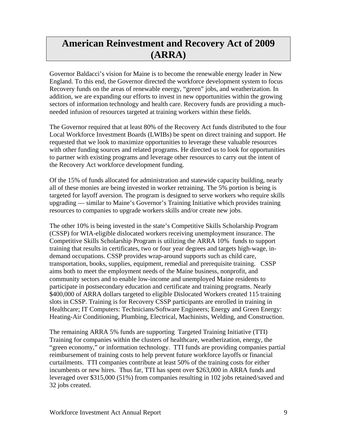## **American Reinvestment and Recovery Act of 2009 (ARRA)**

Governor Baldacci's vision for Maine is to become the renewable energy leader in New England. To this end, the Governor directed the workforce development system to focus Recovery funds on the areas of renewable energy, "green" jobs, and weatherization. In addition, we are expanding our efforts to invest in new opportunities within the growing sectors of information technology and health care. Recovery funds are providing a muchneeded infusion of resources targeted at training workers within these fields.

The Governor required that at least 80% of the Recovery Act funds distributed to the four Local Workforce Investment Boards (LWIBs) be spent on direct training and support. He requested that we look to maximize opportunities to leverage these valuable resources with other funding sources and related programs. He directed us to look for opportunities to partner with existing programs and leverage other resources to carry out the intent of the Recovery Act workforce development funding.

Of the 15% of funds allocated for administration and statewide capacity building, nearly all of these monies are being invested in worker retraining. The 5% portion is being is targeted for layoff aversion. The program is designed to serve workers who require skills upgrading — similar to Maine's Governor's Training Initiative which provides training resources to companies to upgrade workers skills and/or create new jobs.

The other 10% is being invested in the state's Competitive Skills Scholarship Program (CSSP) for WIA-eligible dislocated workers receiving unemployment insurance. The Competitive Skills Scholarship Program is utilizing the ARRA 10% funds to support training that results in certificates, two or four year degrees and targets high-wage, indemand occupations. CSSP provides wrap-around supports such as child care, transportation, books, supplies, equipment, remedial and prerequisite training. CSSP aims both to meet the employment needs of the Maine business, nonprofit, and community sectors and to enable low-income and unemployed Maine residents to participate in postsecondary education and certificate and training programs. Nearly \$400,000 of ARRA dollars targeted to eligible Dislocated Workers created 115 training slots in CSSP. Training is for Recovery CSSP participants are enrolled in training in Healthcare; IT Computers: Technicians/Software Engineers; Energy and Green Energy: Heating-Air Conditioning, Plumbing, Electrical, Machinists, Welding, and Construction.

The remaining ARRA 5% funds are supporting Targeted Training Initiative (TTI) Training for companies within the clusters of healthcare, weatherization, energy, the "green economy," or information technology. TTI funds are providing companies partial reimbursement of training costs to help prevent future workforce layoffs or financial curtailments. TTI companies contribute at least 50% of the training costs for either incumbents or new hires. Thus far, TTI has spent over \$263,000 in ARRA funds and leveraged over \$315,000 (51%) from companies resulting in 102 jobs retained/saved and 32 jobs created.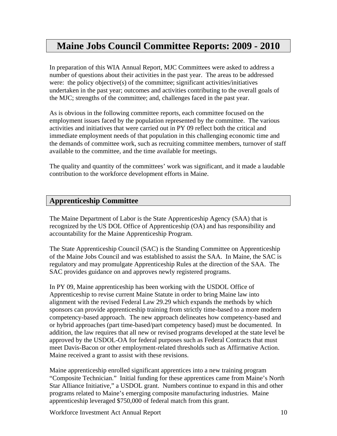## **Maine Jobs Council Committee Reports: 2009 - 2010**

In preparation of this WIA Annual Report, MJC Committees were asked to address a number of questions about their activities in the past year. The areas to be addressed were: the policy objective(s) of the committee; significant activities/initiatives undertaken in the past year; outcomes and activities contributing to the overall goals of the MJC; strengths of the committee; and, challenges faced in the past year.

As is obvious in the following committee reports, each committee focused on the employment issues faced by the population represented by the committee. The various activities and initiatives that were carried out in PY 09 reflect both the critical and immediate employment needs of that population in this challenging economic time and the demands of committee work, such as recruiting committee members, turnover of staff available to the committee, and the time available for meetings.

The quality and quantity of the committees' work was significant, and it made a laudable contribution to the workforce development efforts in Maine.

#### **Apprenticeship Committee**

The Maine Department of Labor is the State Apprenticeship Agency (SAA) that is recognized by the US DOL Office of Apprenticeship (OA) and has responsibility and accountability for the Maine Apprenticeship Program.

The State Apprenticeship Council (SAC) is the Standing Committee on Apprenticeship of the Maine Jobs Council and was established to assist the SAA. In Maine, the SAC is regulatory and may promulgate Apprenticeship Rules at the direction of the SAA. The SAC provides guidance on and approves newly registered programs.

In PY 09, Maine apprenticeship has been working with the USDOL Office of Apprenticeship to revise current Maine Statute in order to bring Maine law into alignment with the revised Federal Law 29.29 which expands the methods by which sponsors can provide apprenticeship training from strictly time-based to a more modern competency-based approach. The new approach delineates how competency-based and or hybrid approaches (part time-based/part competency based) must be documented. In addition, the law requires that all new or revised programs developed at the state level be approved by the USDOL-OA for federal purposes such as Federal Contracts that must meet Davis-Bacon or other employment-related thresholds such as Affirmative Action. Maine received a grant to assist with these revisions.

Maine apprenticeship enrolled significant apprentices into a new training program "Composite Technician." Initial funding for these apprentices came from Maine's North Star Alliance Initiative," a USDOL grant. Numbers continue to expand in this and other programs related to Maine's emerging composite manufacturing industries. Maine apprenticeship leveraged \$750,000 of federal match from this grant.

Workforce Investment Act Annual Report 10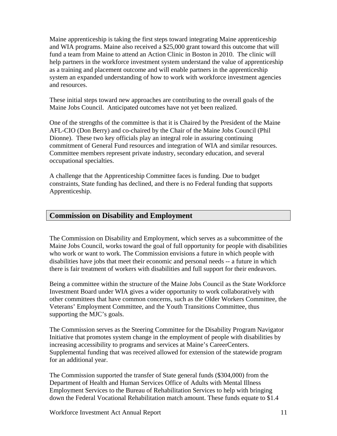Maine apprenticeship is taking the first steps toward integrating Maine apprenticeship and WIA programs. Maine also received a \$25,000 grant toward this outcome that will fund a team from Maine to attend an Action Clinic in Boston in 2010. The clinic will help partners in the workforce investment system understand the value of apprenticeship as a training and placement outcome and will enable partners in the apprenticeship system an expanded understanding of how to work with workforce investment agencies and resources.

These initial steps toward new approaches are contributing to the overall goals of the Maine Jobs Council. Anticipated outcomes have not yet been realized.

One of the strengths of the committee is that it is Chaired by the President of the Maine AFL-CIO (Don Berry) and co-chaired by the Chair of the Maine Jobs Council (Phil Dionne). These two key officials play an integral role in assuring continuing commitment of General Fund resources and integration of WIA and similar resources. Committee members represent private industry, secondary education, and several occupational specialties.

A challenge that the Apprenticeship Committee faces is funding. Due to budget constraints, State funding has declined, and there is no Federal funding that supports Apprenticeship.

#### **Commission on Disability and Employment**

The Commission on Disability and Employment, which serves as a subcommittee of the Maine Jobs Council, works toward the goal of full opportunity for people with disabilities who work or want to work. The Commission envisions a future in which people with disabilities have jobs that meet their economic and personal needs -- a future in which there is fair treatment of workers with disabilities and full support for their endeavors.

Being a committee within the structure of the Maine Jobs Council as the State Workforce Investment Board under WIA gives a wider opportunity to work collaboratively with other committees that have common concerns, such as the Older Workers Committee, the Veterans' Employment Committee, and the Youth Transitions Committee, thus supporting the MJC's goals.

The Commission serves as the Steering Committee for the Disability Program Navigator Initiative that promotes system change in the employment of people with disabilities by increasing accessibility to programs and services at Maine's CareerCenters. Supplemental funding that was received allowed for extension of the statewide program for an additional year.

The Commission supported the transfer of State general funds (\$304,000) from the Department of Health and Human Services Office of Adults with Mental Illness Employment Services to the Bureau of Rehabilitation Services to help with bringing down the Federal Vocational Rehabilitation match amount. These funds equate to \$1.4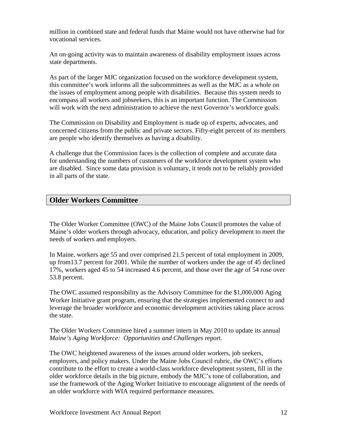million in combined state and federal funds that Maine would not have otherwise had for vocational services.

An on-going activity was to maintain awareness of disability employment issues across state departments.

As part of the larger MJC organization focused on the workforce development system, this committee's work informs all the subcommittees as well as the MJC as a whole on the issues of employment among people with disabilities. Because this system needs to encompass all workers and jobseekers, this is an important function. The Commission will work with the next administration to achieve the next Governor's workforce goals.

The Commission on Disability and Employment is made up of experts, advocates, and concerned citizens from the public and private sectors. Fifty-eight percent of its members are people who identify themselves as having a disability.

A challenge that the Commission faces is the collection of complete and accurate data for understanding the numbers of customers of the workforce development system who are disabled. Since some data provision is voluntary, it tends not to be reliably provided in all parts of the state.

### **Older Workers Committee**

The Older Worker Committee (OWC) of the Maine Jobs Council promotes the value of Maine's older workers through advocacy, education, and policy development to meet the needs of workers and employers.

In Maine, workers age 55 and over comprised 21.5 percent of total employment in 2009, up from13.7 percent for 2001. While the number of workers under the age of 45 declined 17%, workers aged 45 to 54 increased 4.6 percent, and those over the age of 54 rose over 53.8 percent.

The OWC assumed responsibility as the Advisory Committee for the \$1,000,000 Aging Worker Initiative grant program, ensuring that the strategies implemented connect to and leverage the broader workforce and economic development activities taking place across the state.

The Older Workers Committee hired a summer intern in May 2010 to update its annual *Maine's Aging Workforce: Opportunities and Challenges* report.

The OWC heightened awareness of the issues around older workers, job seekers, employers, and policy makers. Under the Maine Jobs Council rubric, the OWC's efforts contribute to the effort to create a world-class workforce development system, fill in the older workforce details in the big picture, embody the MJC's tone of collaboration, and use the framework of the Aging Worker Initiative to encourage alignment of the needs of an older workforce with WIA required performance measures.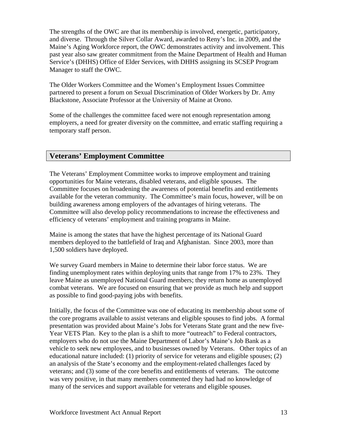The strengths of the OWC are that its membership is involved, energetic, participatory, and diverse. Through the Silver Collar Award, awarded to Reny's Inc. in 2009, and the Maine's Aging Workforce report, the OWC demonstrates activity and involvement. This past year also saw greater commitment from the Maine Department of Health and Human Service's (DHHS) Office of Elder Services, with DHHS assigning its SCSEP Program Manager to staff the OWC.

The Older Workers Committee and the Women's Employment Issues Committee partnered to present a forum on Sexual Discrimination of Older Workers by Dr. Amy Blackstone, Associate Professor at the University of Maine at Orono.

Some of the challenges the committee faced were not enough representation among employers, a need for greater diversity on the committee, and erratic staffing requiring a temporary staff person.

#### **Veterans' Employment Committee**

The Veterans' Employment Committee works to improve employment and training opportunities for Maine veterans, disabled veterans, and eligible spouses. The Committee focuses on broadening the awareness of potential benefits and entitlements available for the veteran community. The Committee's main focus, however, will be on building awareness among employers of the advantages of hiring veterans. The Committee will also develop policy recommendations to increase the effectiveness and efficiency of veterans' employment and training programs in Maine.

Maine is among the states that have the highest percentage of its National Guard members deployed to the battlefield of Iraq and Afghanistan. Since 2003, more than 1,500 soldiers have deployed.

We survey Guard members in Maine to determine their labor force status. We are finding unemployment rates within deploying units that range from 17% to 23%. They leave Maine as unemployed National Guard members; they return home as unemployed combat veterans. We are focused on ensuring that we provide as much help and support as possible to find good-paying jobs with benefits.

Initially, the focus of the Committee was one of educating its membership about some of the core programs available to assist veterans and eligible spouses to find jobs. A formal presentation was provided about Maine's Jobs for Veterans State grant and the new five-Year VETS Plan. Key to the plan is a shift to more "outreach" to Federal contractors, employers who do not use the Maine Department of Labor's Maine's Job Bank as a vehicle to seek new employees, and to businesses owned by Veterans. Other topics of an educational nature included: (1) priority of service for veterans and eligible spouses; (2) an analysis of the State's economy and the employment-related challenges faced by veterans; and (3) some of the core benefits and entitlements of veterans. The outcome was very positive, in that many members commented they had had no knowledge of many of the services and support available for veterans and eligible spouses.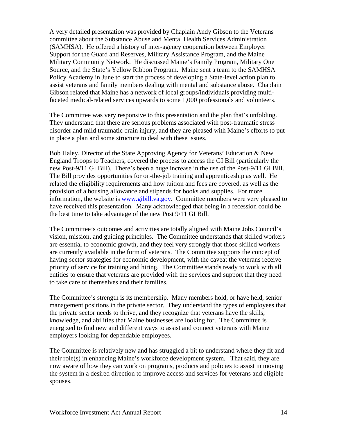A very detailed presentation was provided by Chaplain Andy Gibson to the Veterans committee about the Substance Abuse and Mental Health Services Administration (SAMHSA). He offered a history of inter-agency cooperation between Employer Support for the Guard and Reserves, Military Assistance Program, and the Maine Military Community Network. He discussed Maine's Family Program, Military One Source, and the State's Yellow Ribbon Program. Maine sent a team to the SAMHSA Policy Academy in June to start the process of developing a State-level action plan to assist veterans and family members dealing with mental and substance abuse. Chaplain Gibson related that Maine has a network of local groups/individuals providing multifaceted medical-related services upwards to some 1,000 professionals and volunteers.

The Committee was very responsive to this presentation and the plan that's unfolding. They understand that there are serious problems associated with post-traumatic stress disorder and mild traumatic brain injury, and they are pleased with Maine's efforts to put in place a plan and some structure to deal with these issues.

Bob Haley, Director of the State Approving Agency for Veterans' Education & New England Troops to Teachers, covered the process to access the GI Bill (particularly the new Post-9/11 GI Bill). There's been a huge increase in the use of the Post-9/11 GI Bill. The Bill provides opportunities for on-the-job training and apprenticeship as well. He related the eligibility requirements and how tuition and fees are covered, as well as the provision of a housing allowance and stipends for books and supplies. For more information, the website is [www.gibill.va.gov.](http://www.gibill.va.gov/) Committee members were very pleased to have received this presentation. Many acknowledged that being in a recession could be the best time to take advantage of the new Post 9/11 GI Bill.

The Committee's outcomes and activities are totally aligned with Maine Jobs Council's vision, mission, and guiding principles. The Committee understands that skilled workers are essential to economic growth, and they feel very strongly that those skilled workers are currently available in the form of veterans. The Committee supports the concept of having sector strategies for economic development, with the caveat the veterans receive priority of service for training and hiring. The Committee stands ready to work with all entities to ensure that veterans are provided with the services and support that they need to take care of themselves and their families.

The Committee's strength is its membership. Many members hold, or have held, senior management positions in the private sector. They understand the types of employees that the private sector needs to thrive, and they recognize that veterans have the skills, knowledge, and abilities that Maine businesses are looking for. The Committee is energized to find new and different ways to assist and connect veterans with Maine employers looking for dependable employees.

The Committee is relatively new and has struggled a bit to understand where they fit and their role(s) in enhancing Maine's workforce development system. That said, they are now aware of how they can work on programs, products and policies to assist in moving the system in a desired direction to improve access and services for veterans and eligible spouses.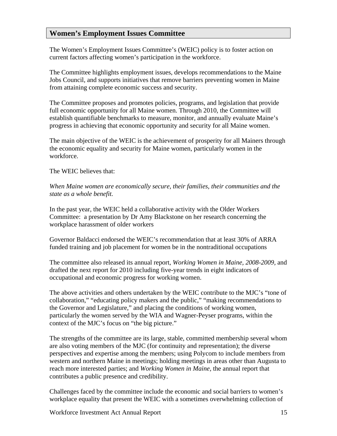#### **Women's Employment Issues Committee**

The Women's Employment Issues Committee's (WEIC) policy is to foster action on current factors affecting women's participation in the workforce.

The Committee highlights employment issues, develops recommendations to the Maine Jobs Council, and supports initiatives that remove barriers preventing women in Maine from attaining complete economic success and security.

The Committee proposes and promotes policies, programs, and legislation that provide full economic opportunity for all Maine women. Through 2010, the Committee will establish quantifiable benchmarks to measure, monitor, and annually evaluate Maine's progress in achieving that economic opportunity and security for all Maine women.

The main objective of the WEIC is the achievement of prosperity for all Mainers through the economic equality and security for Maine women, particularly women in the workforce.

The WEIC believes that:

*When Maine women are economically secure, their families, their communities and the state as a whole benefit.*

In the past year, the WEIC held a collaborative activity with the Older Workers Committee: a presentation by Dr Amy Blackstone on her research concerning the workplace harassment of older workers

Governor Baldacci endorsed the WEIC's recommendation that at least 30% of ARRA funded training and job placement for women be in the nontraditional occupations

The committee also released its annual report, *Working Women in Maine, 2008-2009,* and drafted the next report for 2010 including five-year trends in eight indicators of occupational and economic progress for working women.

The above activities and others undertaken by the WEIC contribute to the MJC's "tone of collaboration," "educating policy makers and the public," "making recommendations to the Governor and Legislature," and placing the conditions of working women, particularly the women served by the WIA and Wagner-Peyser programs, within the context of the MJC's focus on "the big picture."

The strengths of the committee are its large, stable, committed membership several whom are also voting members of the MJC (for continuity and representation); the diverse perspectives and expertise among the members; using Polycom to include members from western and northern Maine in meetings; holding meetings in areas other than Augusta to reach more interested parties; and *Working Women in Maine,* the annual report that contributes a public presence and credibility.

Challenges faced by the committee include the economic and social barriers to women's workplace equality that present the WEIC with a sometimes overwhelming collection of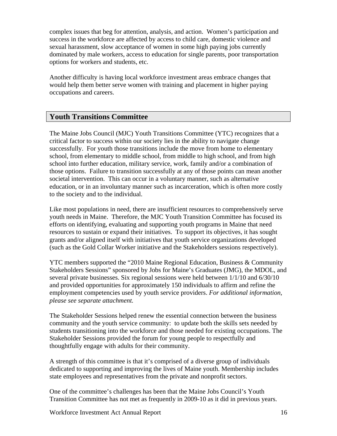complex issues that beg for attention, analysis, and action. Women's participation and success in the workforce are affected by access to child care, domestic violence and sexual harassment, slow acceptance of women in some high paying jobs currently dominated by male workers, access to education for single parents, poor transportation options for workers and students, etc.

Another difficulty is having local workforce investment areas embrace changes that would help them better serve women with training and placement in higher paying occupations and careers.

#### **Youth Transitions Committee**

The Maine Jobs Council (MJC) Youth Transitions Committee (YTC) recognizes that a critical factor to success within our society lies in the ability to navigate change successfully. For youth those transitions include the move from home to elementary school, from elementary to middle school, from middle to high school, and from high school into further education, military service, work, family and/or a combination of those options. Failure to transition successfully at any of those points can mean another societal intervention. This can occur in a voluntary manner, such as alternative education, or in an involuntary manner such as incarceration, which is often more costly to the society and to the individual.

Like most populations in need, there are insufficient resources to comprehensively serve youth needs in Maine. Therefore, the MJC Youth Transition Committee has focused its efforts on identifying, evaluating and supporting youth programs in Maine that need resources to sustain or expand their initiatives. To support its objectives, it has sought grants and/or aligned itself with initiatives that youth service organizations developed (such as the Gold Collar Worker initiative and the Stakeholders sessions respectively).

YTC members supported the "2010 Maine Regional Education, Business & Community Stakeholders Sessions" sponsored by Jobs for Maine's Graduates (JMG), the MDOL, and several private businesses. Six regional sessions were held between 1/1/10 and 6/30/10 and provided opportunities for approximately 150 individuals to affirm and refine the employment competencies used by youth service providers. *For additional information, please see separate attachment.* 

The Stakeholder Sessions helped renew the essential connection between the business community and the youth service community: to update both the skills sets needed by students transitioning into the workforce and those needed for existing occupations. The Stakeholder Sessions provided the forum for young people to respectfully and thoughtfully engage with adults for their community.

A strength of this committee is that it's comprised of a diverse group of individuals dedicated to supporting and improving the lives of Maine youth. Membership includes state employees and representatives from the private and nonprofit sectors.

One of the committee's challenges has been that the Maine Jobs Council's Youth Transition Committee has not met as frequently in 2009-10 as it did in previous years.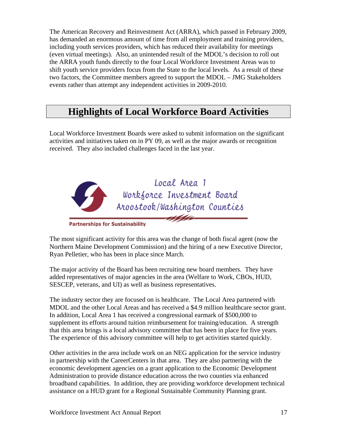The American Recovery and Reinvestment Act (ARRA), which passed in February 2009, has demanded an enormous amount of time from all employment and training providers, including youth services providers, which has reduced their availability for meetings (even virtual meetings). Also, an unintended result of the MDOL's decision to roll out the ARRA youth funds directly to the four Local Workforce Investment Areas was to shift youth service providers focus from the State to the local levels. As a result of these two factors, the Committee members agreed to support the MDOL – JMG Stakeholders events rather than attempt any independent activities in 2009-2010.

## **Highlights of Local Workforce Board Activities**

Local Workforce Investment Boards were asked to submit information on the significant activities and initiatives taken on in PY 09, as well as the major awards or recognition received. They also included challenges faced in the last year.



**Partnerships for Sustainability** 

The most significant activity for this area was the change of both fiscal agent (now the Northern Maine Development Commission) and the hiring of a new Executive Director, Ryan Pelletier, who has been in place since March.

The major activity of the Board has been recruiting new board members. They have added representatives of major agencies in the area (Welfare to Work, CBOs, HUD, SESCEP, veterans, and UI) as well as business representatives.

The industry sector they are focused on is healthcare. The Local Area partnered with MDOL and the other Local Areas and has received a \$4.9 million healthcare sector grant. In addition, Local Area 1 has received a congressional earmark of \$500,000 to supplement its efforts around tuition reimbursement for training/education. A strength that this area brings is a local advisory committee that has been in place for five years. The experience of this advisory committee will help to get activities started quickly.

Other activities in the area include work on an NEG application for the service industry in partnership with the CareerCenters in that area. They are also partnering with the economic development agencies on a grant application to the Economic Development Administration to provide distance education across the two counties via enhanced broadband capabilities. In addition, they are providing workforce development technical assistance on a HUD grant for a Regional Sustainable Community Planning grant.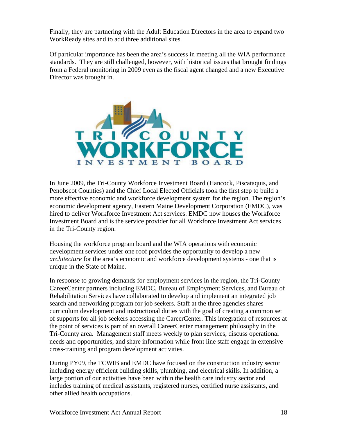Finally, they are partnering with the Adult Education Directors in the area to expand two WorkReady sites and to add three additional sites.

Of particular importance has been the area's success in meeting all the WIA performance standards. They are still challenged, however, with historical issues that brought findings from a Federal monitoring in 2009 even as the fiscal agent changed and a new Executive Director was brought in.



In June 2009, the Tri-County Workforce Investment Board (Hancock, Piscataquis, and Penobscot Counties) and the Chief Local Elected Officials took the first step to build a more effective economic and workforce development system for the region. The region's economic development agency, Eastern Maine Development Corporation (EMDC), was hired to deliver Workforce Investment Act services. EMDC now houses the Workforce Investment Board and is the service provider for all Workforce Investment Act services in the Tri-County region.

Housing the workforce program board and the WIA operations with economic development services under one roof provides the opportunity to develop a new *architecture* for the area's economic and workforce development systems - one that is unique in the State of Maine.

In response to growing demands for employment services in the region, the Tri-County CareerCenter partners including EMDC, Bureau of Employment Services, and Bureau of Rehabilitation Services have collaborated to develop and implement an integrated job search and networking program for job seekers. Staff at the three agencies shares curriculum development and instructional duties with the goal of creating a common set of supports for all job seekers accessing the CareerCenter. This integration of resources at the point of services is part of an overall CareerCenter management philosophy in the Tri-County area. Management staff meets weekly to plan services, discuss operational needs and opportunities, and share information while front line staff engage in extensive cross-training and program development activities.

During PY09, the TCWIB and EMDC have focused on the construction industry sector including energy efficient building skills, plumbing, and electrical skills. In addition, a large portion of our activities have been within the health care industry sector and includes training of medical assistants, registered nurses, certified nurse assistants, and other allied health occupations.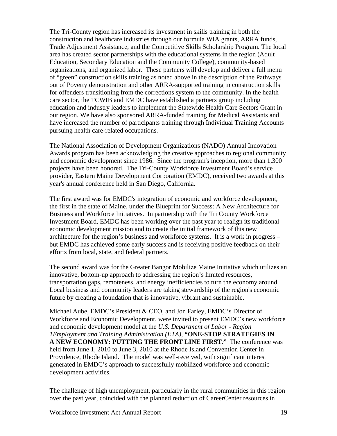The Tri-County region has increased its investment in skills training in both the construction and healthcare industries through our formula WIA grants, ARRA funds, Trade Adjustment Assistance, and the Competitive Skills Scholarship Program. The local area has created sector partnerships with the educational systems in the region (Adult Education, Secondary Education and the Community College), community-based organizations, and organized labor. These partners will develop and deliver a full menu of "green" construction skills training as noted above in the description of the Pathways out of Poverty demonstration and other ARRA-supported training in construction skills for offenders transitioning from the corrections system to the community. In the health care sector, the TCWIB and EMDC have established a partners group including education and industry leaders to implement the Statewide Health Care Sectors Grant in our region. We have also sponsored ARRA-funded training for Medical Assistants and have increased the number of participants training through Individual Training Accounts pursuing health care-related occupations.

The National Association of Development Organizations (NADO) Annual Innovation Awards program has been acknowledging the creative approaches to regional community and economic development since 1986. Since the program's inception, more than 1,300 projects have been honored. The Tri-County Workforce Investment Board's service provider, Eastern Maine Development Corporation (EMDC), received two awards at this year's annual conference held in San Diego, California.

The first award was for EMDC's integration of economic and workforce development, the first in the state of Maine, under the Blueprint for Success: A New Architecture for Business and Workforce Initiatives. In partnership with the Tri County Workforce Investment Board, EMDC has been working over the past year to realign its traditional economic development mission and to create the initial framework of this new architecture for the region's business and workforce systems. It is a work in progress – but EMDC has achieved some early success and is receiving positive feedback on their efforts from local, state, and federal partners.

The second award was for the Greater Bangor Mobilize Maine Initiative which utilizes an innovative, bottom-up approach to addressing the region's limited resources, transportation gaps, remoteness, and energy inefficiencies to turn the economy around. Local business and community leaders are taking stewardship of the region's economic future by creating a foundation that is innovative, vibrant and sustainable.

Michael Aube, EMDC's President & CEO, and Jon Farley, EMDC's Director of Workforce and Economic Development, were invited to present EMDC's new workforce and economic development model at the *U.S. Department of Labor - Region 1Employment and Training Administration (ETA),* **"ONE-STOP STRATEGIES IN A NEW ECONOMY: PUTTING THE FRONT LINE FIRST."** The conference was held from June 1, 2010 to June 3, 2010 at the Rhode Island Convention Center in Providence, Rhode Island. The model was well-received, with significant interest generated in EMDC's approach to successfully mobilized workforce and economic development activities.

The challenge of high unemployment, particularly in the rural communities in this region over the past year, coincided with the planned reduction of CareerCenter resources in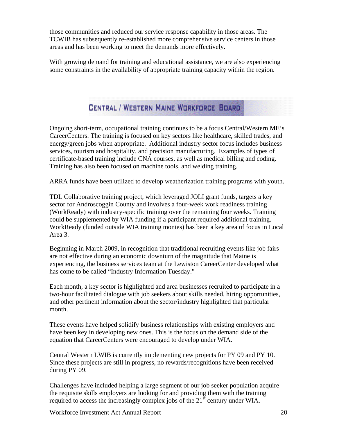those communities and reduced our service response capability in those areas. The TCWIB has subsequently re-established more comprehensive service centers in those areas and has been working to meet the demands more effectively.

With growing demand for training and educational assistance, we are also experiencing some constraints in the availability of appropriate training capacity within the region.

## CENTRAL / WESTERN MAINE WORKFORCE BOARD

Ongoing short-term, occupational training continues to be a focus Central/Western ME's CareerCenters. The training is focused on key sectors like healthcare, skilled trades, and energy/green jobs when appropriate. Additional industry sector focus includes business services, tourism and hospitality, and precision manufacturing. Examples of types of certificate-based training include CNA courses, as well as medical billing and coding. Training has also been focused on machine tools, and welding training.

ARRA funds have been utilized to develop weatherization training programs with youth.

TDL Collaborative training project, which leveraged JOLI grant funds, targets a key sector for Androscoggin County and involves a four-week work readiness training (WorkReady) with industry-specific training over the remaining four weeks. Training could be supplemented by WIA funding if a participant required additional training. WorkReady (funded outside WIA training monies) has been a key area of focus in Local Area 3.

Beginning in March 2009, in recognition that traditional recruiting events like job fairs are not effective during an economic downturn of the magnitude that Maine is experiencing, the business services team at the Lewiston CareerCenter developed what has come to be called "Industry Information Tuesday."

Each month, a key sector is highlighted and area businesses recruited to participate in a two-hour facilitated dialogue with job seekers about skills needed, hiring opportunities, and other pertinent information about the sector/industry highlighted that particular month.

These events have helped solidify business relationships with existing employers and have been key in developing new ones. This is the focus on the demand side of the equation that CareerCenters were encouraged to develop under WIA.

Central Western LWIB is currently implementing new projects for PY 09 and PY 10. Since these projects are still in progress, no rewards/recognitions have been received during PY 09.

Challenges have included helping a large segment of our job seeker population acquire the requisite skills employers are looking for and providing them with the training required to access the increasingly complex jobs of the  $21<sup>st</sup>$  century under WIA.

Workforce Investment Act Annual Report 20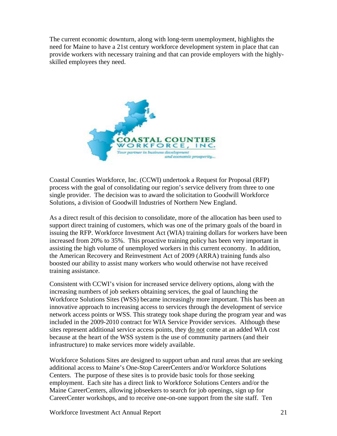The current economic downturn, along with long-term unemployment, highlights the need for Maine to have a 21st century workforce development system in place that can provide workers with necessary training and that can provide employers with the highlyskilled employees they need.



Coastal Counties Workforce, Inc. (CCWI) undertook a Request for Proposal (RFP) process with the goal of consolidating our region's service delivery from three to one single provider. The decision was to award the solicitation to Goodwill Workforce Solutions, a division of Goodwill Industries of Northern New England.

As a direct result of this decision to consolidate, more of the allocation has been used to support direct training of customers, which was one of the primary goals of the board in issuing the RFP. Workforce Investment Act (WIA) training dollars for workers have been increased from 20% to 35%. This proactive training policy has been very important in assisting the high volume of unemployed workers in this current economy. In addition, the American Recovery and Reinvestment Act of 2009 (ARRA) training funds also boosted our ability to assist many workers who would otherwise not have received training assistance.

Consistent with CCWI's vision for increased service delivery options, along with the increasing numbers of job seekers obtaining services, the goal of launching the Workforce Solutions Sites (WSS) became increasingly more important. This has been an innovative approach to increasing access to services through the development of service network access points or WSS. This strategy took shape during the program year and was included in the 2009-2010 contract for WIA Service Provider services. Although these sites represent additional service access points, they do not come at an added WIA cost because at the heart of the WSS system is the use of community partners (and their infrastructure) to make services more widely available.

Workforce Solutions Sites are designed to support urban and rural areas that are seeking additional access to Maine's One-Stop CareerCenters and/or Workforce Solutions Centers. The purpose of these sites is to provide basic tools for those seeking employment. Each site has a direct link to Workforce Solutions Centers and/or the Maine CareerCenters, allowing jobseekers to search for job openings, sign up for CareerCenter workshops, and to receive one-on-one support from the site staff. Ten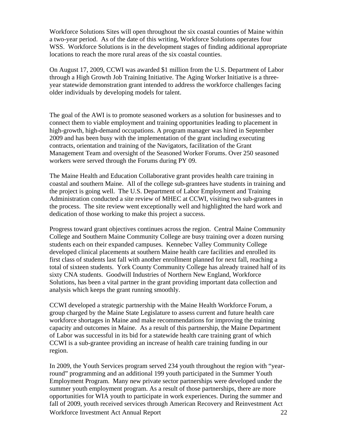Workforce Solutions Sites will open throughout the six coastal counties of Maine within a two-year period. As of the date of this writing, Workforce Solutions operates four WSS. Workforce Solutions is in the development stages of finding additional appropriate locations to reach the more rural areas of the six coastal counties.

On August 17, 2009, CCWI was awarded \$1 million from the U.S. Department of Labor through a High Growth Job Training Initiative. The Aging Worker Initiative is a threeyear statewide demonstration grant intended to address the workforce challenges facing older individuals by developing models for talent.

The goal of the AWI is to promote seasoned workers as a solution for businesses and to connect them to viable employment and training opportunities leading to placement in high-growth, high-demand occupations. A program manager was hired in September 2009 and has been busy with the implementation of the grant including executing contracts, orientation and training of the Navigators, facilitation of the Grant Management Team and oversight of the Seasoned Worker Forums. Over 250 seasoned workers were served through the Forums during PY 09.

The Maine Health and Education Collaborative grant provides health care training in coastal and southern Maine. All of the college sub-grantees have students in training and the project is going well. The U.S. Department of Labor Employment and Training Administration conducted a site review of MHEC at CCWI, visiting two sub-grantees in the process. The site review went exceptionally well and highlighted the hard work and dedication of those working to make this project a success.

Progress toward grant objectives continues across the region. Central Maine Community College and Southern Maine Community College are busy training over a dozen nursing students each on their expanded campuses. Kennebec Valley Community College developed clinical placements at southern Maine health care facilities and enrolled its first class of students last fall with another enrollment planned for next fall, reaching a total of sixteen students. York County Community College has already trained half of its sixty CNA students. Goodwill Industries of Northern New England, Workforce Solutions, has been a vital partner in the grant providing important data collection and analysis which keeps the grant running smoothly.

CCWI developed a strategic partnership with the Maine Health Workforce Forum, a group charged by the Maine State Legislature to assess current and future health care workforce shortages in Maine and make recommendations for improving the training capacity and outcomes in Maine. As a result of this partnership, the Maine Department of Labor was successful in its bid for a statewide health care training grant of which CCWI is a sub-grantee providing an increase of health care training funding in our region.

Workforce Investment Act Annual Report 22 In 2009, the Youth Services program served 234 youth throughout the region with "yearround" programming and an additional 199 youth participated in the Summer Youth Employment Program. Many new private sector partnerships were developed under the summer youth employment program. As a result of those partnerships, there are more opportunities for WIA youth to participate in work experiences. During the summer and fall of 2009, youth received services through American Recovery and Reinvestment Act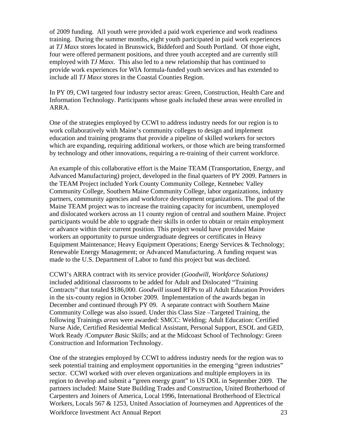of 2009 funding. All youth were provided a paid work experience and work readiness training. During the summer months, eight youth participated in paid work experiences at *TJ Maxx* stores located in Brunswick, Biddeford and South Portland. Of those eight, four were offered permanent positions, and three youth accepted and are currently still employed with *TJ Maxx*. This also led to a new relationship that has continued to provide work experiences for WIA formula-funded youth services and has extended to include all *TJ Maxx* stores in the Coastal Counties Region.

In PY 09, CWI targeted four industry sector areas: Green, Construction, Health Care and Information Technology. Participants whose goals *includ*ed these areas were enrolled in ARRA.

One of the strategies employed by CCWI to address industry needs for our region is to work collaboratively with Maine's community colleges to design and implement education and training programs that provide a pipeline of skilled workers for sectors which are expanding, requiring additional workers, or those which are being transformed by technology and other innovations, requiring a re-training of their current workforce.

An example of this collaborative effort is the Maine TEAM (Transportation, Energy, and Advanced Manufacturing) project, developed in the final quarters of PY 2009. Partners in the TEAM Project included York County Community College, Kennebec Valley Community College, Southern Maine Community College, labor organizations, industry partners, community agencies and workforce development organizations. The goal of the Maine TEAM project was to increase the training capacity for incumbent, unemployed and dislocated workers across an 11 county region of central and southern Maine. Project participants would be able to upgrade their skills in order to obtain or retain employment or advance within their current position. This project would have provided Maine workers an opportunity to pursue undergraduate degrees or certificates in Heavy Equipment Maintenance; Heavy Equipment Operations; Energy Services & Technology; Renewable Energy Management; or Advanced Manufacturing. A funding request was made to the U.S. Department of Labor to fund this project but was declined.

CCWI's ARRA contract with its service provider (*Goodwill, Workforce Solutions)* included additional classrooms to be added for Adult and Dislocated "Training Contracts" that totaled \$186,000. *Goodwill* issued RFPs to all Adult Education Providers in the six-county region in October 2009. Implementation of the awards began in December and continued through PY 09. A separate contract with Southern Maine Community College was also issued. Under this Class Size –Targeted Training, the following Trainings *areas* were awarded: SMCC: Welding; Adult Education: Certified Nurse Aide, Certified Residential Medical Assistant, Personal Support, ESOL and GED, Work Ready /Com*puter Ba*sic Skills; and at the Midcoast School of Technology: Green Construction and Information Technology.

Workforce Investment Act Annual Report 23 One of the strategies employed by CCWI to address industry needs for the region was to seek potential training and employment opportunities in the emerging "green industries" sector. CCWI worked with over eleven organizations and multiple employers in its region to develop and submit a "green energy grant" to US DOL in September 2009. The partners included: Maine State Building Trades and Construction, United Brotherhood of Carpenters and Joiners of America, Local 1996, International Brotherhood of Electrical Workers, Locals 567 & 1253, United Association of Journeymen and Apprentices of the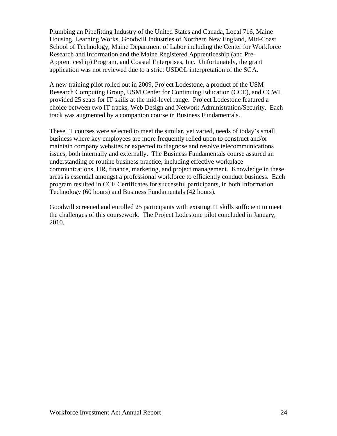Plumbing an Pipefitting Industry of the United States and Canada, Local 716, Maine Housing, Learning Works, Goodwill Industries of Northern New England, Mid-Coast School of Technology, Maine Department of Labor including the Center for Workforce Research and Information and the Maine Registered Apprenticeship (and Pre-Apprenticeship) Program, and Coastal Enterprises, Inc. Unfortunately, the grant application was not reviewed due to a strict USDOL interpretation of the SGA.

A new training pilot rolled out in 2009, Project Lodestone, a product of the USM Research Computing Group, USM Center for Continuing Education (CCE), and CCWI, provided 25 seats for IT skills at the mid-level range. Project Lodestone featured a choice between two IT tracks, Web Design and Network Administration/Security. Each track was augmented by a companion course in Business Fundamentals.

These IT courses were selected to meet the similar, yet varied, needs of today's small business where key employees are more frequently relied upon to construct and/or maintain company websites or expected to diagnose and resolve telecommunications issues, both internally and externally. The Business Fundamentals course assured an understanding of routine business practice, including effective workplace communications, HR, finance, marketing, and project management. Knowledge in these areas is essential amongst a professional workforce to efficiently conduct business. Each program resulted in CCE Certificates for successful participants, in both Information Technology (60 hours) and Business Fundamentals (42 hours).

Goodwill screened and enrolled 25 participants with existing IT skills sufficient to meet the challenges of this coursework. The Project Lodestone pilot concluded in January, 2010.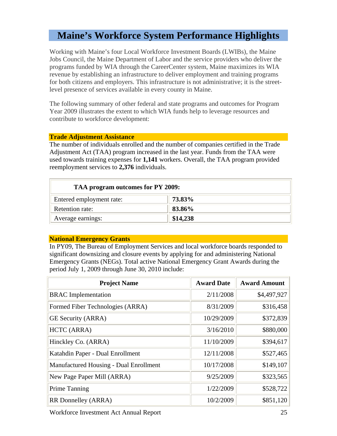### **Maine's Workforce System Performance Highlights**

Working with Maine's four Local Workforce Investment Boards (LWIBs), the Maine Jobs Council, the Maine Department of Labor and the service providers who deliver the programs funded by WIA through the CareerCenter system, Maine maximizes its WIA revenue by establishing an infrastructure to deliver employment and training programs for both citizens and employers. This infrastructure is not administrative; it is the streetlevel presence of services available in every county in Maine.

The following summary of other federal and state programs and outcomes for Program Year 2009 illustrates the extent to which WIA funds help to leverage resources and contribute to workforce development:

#### **Trade Adjustment Assistance**

The number of individuals enrolled and the number of companies certified in the Trade Adjustment Act (TAA) program increased in the last year. Funds from the TAA were used towards training expenses for **1,141** workers. Overall, the TAA program provided reemployment services to **2,376** individuals.

| TAA program outcomes for PY 2009: |          |  |  |
|-----------------------------------|----------|--|--|
| Entered employment rate:          | 73.83%   |  |  |
| Retention rate:                   | 83.86%   |  |  |
| Average earnings:                 | \$14,238 |  |  |

#### **National Emergency Grants**

In PY09, The Bureau of Employment Services and local workforce boards responded to significant downsizing and closure events by applying for and administering National Emergency Grants (NEGs). Total active National Emergency Grant Awards during the period July 1, 2009 through June 30, 2010 include:

| <b>Project Name</b>                    | <b>Award Date</b> | <b>Award Amount</b> |
|----------------------------------------|-------------------|---------------------|
| <b>BRAC</b> Implementation             | 2/11/2008         | \$4,497,927         |
| Formed Fiber Technologies (ARRA)       | 8/31/2009         | \$316,458           |
| GE Security (ARRA)                     | 10/29/2009        | \$372,839           |
| HCTC (ARRA)                            | 3/16/2010         | \$880,000           |
| Hinckley Co. (ARRA)                    | 11/10/2009        | \$394,617           |
| Katahdin Paper - Dual Enrollment       | 12/11/2008        | \$527,465           |
| Manufactured Housing - Dual Enrollment | 10/17/2008        | \$149,107           |
| New Page Paper Mill (ARRA)             | 9/25/2009         | \$323,565           |
| <b>Prime Tanning</b>                   | 1/22/2009         | \$528,722           |
| RR Donnelley (ARRA)                    | 10/2/2009         | \$851,120           |

Workforce Investment Act Annual Report 25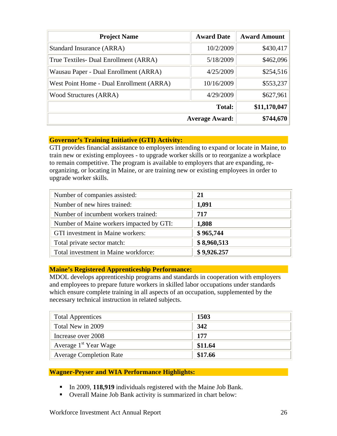| <b>Project Name</b>                      | <b>Award Date</b>     | <b>Award Amount</b> |
|------------------------------------------|-----------------------|---------------------|
| Standard Insurance (ARRA)                | 10/2/2009             | \$430,417           |
| True Textiles- Dual Enrollment (ARRA)    | 5/18/2009             | \$462,096           |
| Wausau Paper - Dual Enrollment (ARRA)    | 4/25/2009             | \$254,516           |
| West Point Home - Dual Enrollment (ARRA) | 10/16/2009            | \$553,237           |
| <b>Wood Structures (ARRA)</b>            | 4/29/2009             | \$627,961           |
|                                          | <b>Total:</b>         | \$11,170,047        |
|                                          | <b>Average Award:</b> | \$744,670           |

#### **Governor's Training Initiative (GTI) Activity:**

GTI provides financial assistance to employers intending to expand or locate in Maine, to train new or existing employees - to upgrade worker skills or to reorganize a workplace to remain competitive. The program is available to employers that are expanding, reorganizing, or locating in Maine, or are training new or existing employees in order to upgrade worker skills.

| Number of companies assisted:            | 21          |
|------------------------------------------|-------------|
| Number of new hires trained:             | 1,091       |
| Number of incumbent workers trained:     | 717         |
| Number of Maine workers impacted by GTI: | 1,808       |
| GTI investment in Maine workers:         | \$965,744   |
| Total private sector match:              | \$8,960,513 |
| Total investment in Maine workforce:     | \$9,926.257 |

#### **Maine's Registered Apprenticeship Performance:**

MDOL develops apprenticeship programs and standards in cooperation with employers and employees to prepare future workers in skilled labor occupations under standards which ensure complete training in all aspects of an occupation, supplemented by the necessary technical instruction in related subjects.

| <b>Total Apprentices</b>          | 1503    |
|-----------------------------------|---------|
| Total New in 2009                 | 342     |
| Increase over 2008                | 177     |
| Average 1 <sup>st</sup> Year Wage | \$11.64 |
| <b>Average Completion Rate</b>    | \$17.66 |

#### **Wagner-Peyser and WIA Performance Highlights:**

- In 2009, 118,919 individuals registered with the Maine Job Bank.
- Overall Maine Job Bank activity is summarized in chart below: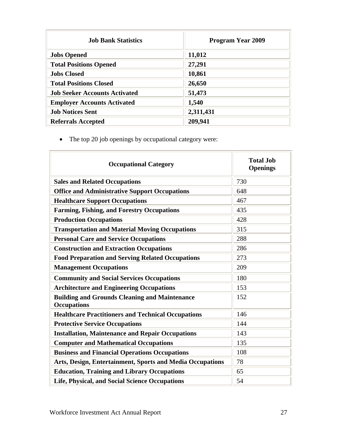| <b>Job Bank Statistics</b>           | <b>Program Year 2009</b> |
|--------------------------------------|--------------------------|
| <b>Jobs Opened</b>                   | 11,012                   |
| <b>Total Positions Opened</b>        | 27,291                   |
| <b>Jobs Closed</b>                   | 10,861                   |
| <b>Total Positions Closed</b>        | 26,650                   |
| <b>Job Seeker Accounts Activated</b> | 51,473                   |
| <b>Employer Accounts Activated</b>   | 1,540                    |
| <b>Job Notices Sent</b>              | 2,311,431                |
| <b>Referrals Accepted</b>            | 209,941                  |

• The top 20 job openings by occupational category were:

| <b>Occupational Category</b>                                               | <b>Total Job</b><br><b>Openings</b> |
|----------------------------------------------------------------------------|-------------------------------------|
| <b>Sales and Related Occupations</b>                                       | 730                                 |
| <b>Office and Administrative Support Occupations</b>                       | 648                                 |
| <b>Healthcare Support Occupations</b>                                      | 467                                 |
| <b>Farming, Fishing, and Forestry Occupations</b>                          | 435                                 |
| <b>Production Occupations</b>                                              | 428                                 |
| <b>Transportation and Material Moving Occupations</b>                      | 315                                 |
| <b>Personal Care and Service Occupations</b>                               | 288                                 |
| <b>Construction and Extraction Occupations</b>                             | 286                                 |
| <b>Food Preparation and Serving Related Occupations</b>                    | 273                                 |
| <b>Management Occupations</b>                                              | 209                                 |
| <b>Community and Social Services Occupations</b>                           | 180                                 |
| <b>Architecture and Engineering Occupations</b>                            | 153                                 |
| <b>Building and Grounds Cleaning and Maintenance</b><br><b>Occupations</b> | 152                                 |
| <b>Healthcare Practitioners and Technical Occupations</b>                  | 146                                 |
| <b>Protective Service Occupations</b>                                      | 144                                 |
| <b>Installation, Maintenance and Repair Occupations</b>                    | 143                                 |
| <b>Computer and Mathematical Occupations</b>                               | 135                                 |
| <b>Business and Financial Operations Occupations</b>                       | 108                                 |
| Arts, Design, Entertainment, Sports and Media Occupations                  | 78                                  |
| <b>Education, Training and Library Occupations</b>                         | 65                                  |
| Life, Physical, and Social Science Occupations                             | 54                                  |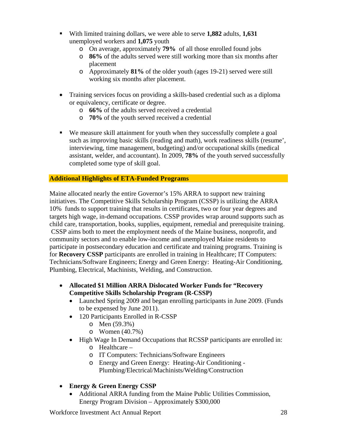- With limited training dollars, we were able to serve **1,882** adults, **1,631**  unemployed workers and **1,075** youth
	- o On average, approximately **79%** of all those enrolled found jobs
	- o **86%** of the adults served were still working more than six months after placement
	- o Approximately **81%** of the older youth (ages 19-21) served were still working six months after placement.
- Training services focus on providing a skills-based credential such as a diploma or equivalency, certificate or degree.
	- o **66%** of the adults served received a credential
	- o **70%** of the youth served received a credential
- We measure skill attainment for youth when they successfully complete a goal such as improving basic skills (reading and math), work readiness skills (resume', interviewing, time management, budgeting) and/or occupational skills (medical assistant, welder, and accountant). In 2009, **78%** of the youth served successfully completed some type of skill goal.

#### **Additional Highlights of ETA-Funded Programs**

Maine allocated nearly the entire Governor's 15% ARRA to support new training initiatives. The Competitive Skills Scholarship Program (CSSP) is utilizing the ARRA 10% funds to support training that results in certificates, two or four year degrees and targets high wage, in-demand occupations. CSSP provides wrap around supports such as child care, transportation, books, supplies, equipment, remedial and prerequisite training. CSSP aims both to meet the employment needs of the Maine business, nonprofit, and community sectors and to enable low-income and unemployed Maine residents to participate in postsecondary education and certificate and training programs. Training is for **Recovery CSSP** participants are enrolled in training in Healthcare; IT Computers: Technicians/Software Engineers; Energy and Green Energy: Heating-Air Conditioning, Plumbing, Electrical, Machinists, Welding, and Construction.

- **Allocated \$1 Million ARRA Dislocated Worker Funds for "Recovery Competitive Skills Scholarship Program (R-CSSP)** 
	- Launched Spring 2009 and began enrolling participants in June 2009. (Funds to be expensed by June 2011).
	- 120 Participants Enrolled in R-CSSP
		- o Men (59.3%)
		- o Women (40.7%)
	- High Wage In Demand Occupations that RCSSP participants are enrolled in:
		- o Healthcare –
		- o IT Computers: Technicians/Software Engineers
		- o Energy and Green Energy: Heating-Air Conditioning Plumbing/Electrical/Machinists/Welding/Construction
- **Energy & Green Energy CSSP** 
	- Additional ARRA funding from the Maine Public Utilities Commission, Energy Program Division – Approximately \$300,000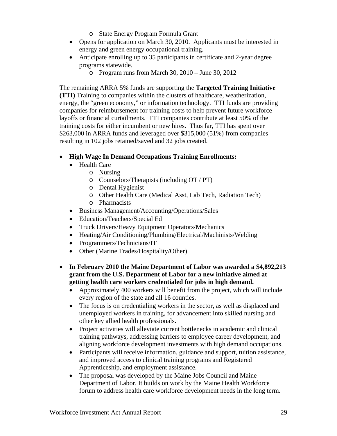- o State Energy Program Formula Grant
- Opens for application on March 30, 2010. Applicants must be interested in energy and green energy occupational training.
- Anticipate enrolling up to 35 participants in certificate and 2-year degree programs statewide.
	- o Program runs from March 30, 2010 June 30, 2012

The remaining ARRA 5% funds are supporting the **Targeted Training Initiative (TTI)** Training to companies within the clusters of healthcare, weatherization, energy, the "green economy," or information technology. TTI funds are providing companies for reimbursement for training costs to help prevent future workforce layoffs or financial curtailments. TTI companies contribute at least 50% of the training costs for either incumbent or new hires. Thus far, TTI has spent over \$263,000 in ARRA funds and leveraged over \$315,000 (51%) from companies resulting in 102 jobs retained/saved and 32 jobs created.

#### **High Wage In Demand Occupations Training Enrollments:**

- Health Care
	- o Nursing
	- o Counselors/Therapists (including OT / PT)
	- o Dental Hygienist
	- o Other Health Care (Medical Asst, Lab Tech, Radiation Tech)
	- o Pharmacists
- Business Management/Accounting/Operations/Sales
- Education/Teachers/Special Ed
- Truck Drivers/Heavy Equipment Operators/Mechanics
- Heating/Air Conditioning/Plumbing/Electrical/Machinists/Welding
- Programmers/Technicians/IT
- Other (Marine Trades/Hospitality/Other)
- **In February 2010 the Maine Department of Labor was awarded a \$4,892,213 grant from the U.S. Department of Labor for a new initiative aimed at getting health care workers credentialed for jobs in high demand.** 
	- Approximately 400 workers will benefit from the project, which will include every region of the state and all 16 counties.
	- The focus is on credentialing workers in the sector, as well as displaced and unemployed workers in training, for advancement into skilled nursing and other key allied health professionals.
	- Project activities will alleviate current bottlenecks in academic and clinical training pathways, addressing barriers to employee career development, and aligning workforce development investments with high demand occupations.
	- Participants will receive information, guidance and support, tuition assistance, and improved access to clinical training programs and Registered Apprenticeship, and employment assistance.
	- The proposal was developed by the Maine Jobs Council and Maine Department of Labor. It builds on work by the Maine Health Workforce forum to address health care workforce development needs in the long term.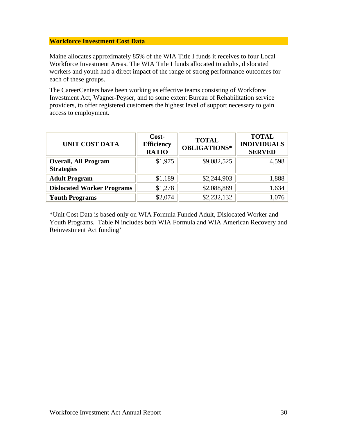#### **Workforce Investment Cost Data**

Maine allocates approximately 85% of the WIA Title I funds it receives to four Local Workforce Investment Areas. The WIA Title I funds allocated to adults, dislocated workers and youth had a direct impact of the range of strong performance outcomes for each of these groups.

The CareerCenters have been working as effective teams consisting of Workforce Investment Act, Wagner-Peyser, and to some extent Bureau of Rehabilitation service providers, to offer registered customers the highest level of support necessary to gain access to employment.

| <b>UNIT COST DATA</b>                            | Cost-<br><b>Efficiency</b><br><b>RATIO</b> | <b>TOTAL</b><br><b>OBLIGATIONS*</b> | <b>TOTAL</b><br><b>INDIVIDUALS</b><br><b>SERVED</b> |
|--------------------------------------------------|--------------------------------------------|-------------------------------------|-----------------------------------------------------|
| <b>Overall, All Program</b><br><b>Strategies</b> | \$1,975                                    | \$9,082,525                         | 4,598                                               |
| <b>Adult Program</b>                             | \$1,189                                    | \$2,244,903                         | 1,888                                               |
| <b>Dislocated Worker Programs</b>                | \$1,278                                    | \$2,088,889                         | 1,634                                               |
| <b>Youth Programs</b>                            | \$2,074                                    | \$2,232,132                         |                                                     |

\*Unit Cost Data is based only on WIA Formula Funded Adult, Dislocated Worker and Youth Programs. Table N includes both WIA Formula and WIA American Recovery and Reinvestment Act funding'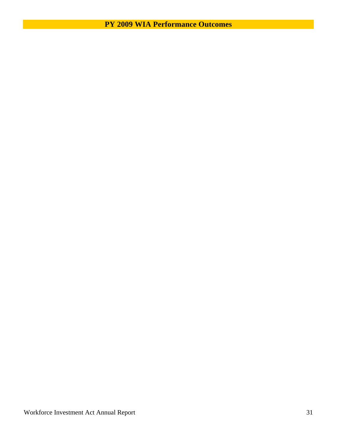**PY 2009 WIA Performance Outcomes**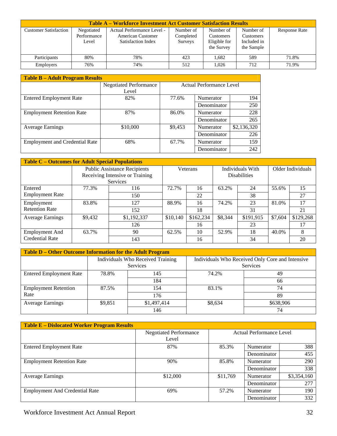| <b>Table A – Workforce Investment Act Customer Satisfaction Results</b> |                                    |                                                                              |                                   |                                                      |                                                            |                      |  |
|-------------------------------------------------------------------------|------------------------------------|------------------------------------------------------------------------------|-----------------------------------|------------------------------------------------------|------------------------------------------------------------|----------------------|--|
| <b>Customer Satisfaction</b>                                            | Negotiated<br>Performance<br>Level | Actual Performance Level -<br><b>American Customer</b><br>Satisfaction Index | Number of<br>Completed<br>Surveys | Number of<br>Customers<br>Eligible for<br>the Survey | Number of<br><b>Customers</b><br>Included in<br>the Sample | <b>Response Rate</b> |  |
| Participants                                                            | 80%                                | 78%                                                                          | 423                               | 1.682                                                | 589                                                        | 71.8%                |  |
| <b>Employers</b>                                                        | 76%                                | 74%                                                                          | 512                               | 1.026                                                | 712                                                        | 71.9%                |  |

| <b>Table B - Adult Program Results</b> |                               |         |                                 |             |  |  |  |  |
|----------------------------------------|-------------------------------|---------|---------------------------------|-------------|--|--|--|--|
|                                        | <b>Negotiated Performance</b> |         | <b>Actual Performance Level</b> |             |  |  |  |  |
|                                        | Level                         |         |                                 |             |  |  |  |  |
| <b>Entered Employment Rate</b>         | 82%                           | 77.6%   | Numerator                       | 194         |  |  |  |  |
|                                        |                               |         | Denominator                     | 250         |  |  |  |  |
| <b>Employment Retention Rate</b>       | 87%                           | 86.0%   | Numerator                       | 228         |  |  |  |  |
|                                        |                               |         | Denominator                     | 265         |  |  |  |  |
| <b>Average Earnings</b>                | \$10,000                      | \$9,453 | Numerator                       | \$2,136,320 |  |  |  |  |
|                                        |                               |         | Denominator                     | 226         |  |  |  |  |
| <b>Employment and Credential Rate</b>  | 68%                           | 67.7%   | Numerator                       | 159         |  |  |  |  |
|                                        |                               |         | Denominator                     | 242         |  |  |  |  |

| <b>Table C – Outcomes for Adult Special Populations</b> |         |                                     |          |           |                     |           |                   |           |
|---------------------------------------------------------|---------|-------------------------------------|----------|-----------|---------------------|-----------|-------------------|-----------|
|                                                         |         | <b>Public Assistance Recipients</b> | Veterans |           | Individuals With    |           | Older Individuals |           |
|                                                         |         | Receiving Intensive or Training     |          |           | <b>Disabilities</b> |           |                   |           |
|                                                         |         | <b>Services</b>                     |          |           |                     |           |                   |           |
| Entered                                                 | 77.3%   | 116                                 | 72.7%    | 16        | 63.2%               | 24        | 55.6%             | 15        |
| <b>Employment Rate</b>                                  |         | 150                                 |          | 22        |                     | 38        |                   | 27        |
| Employment                                              | 83.8%   | 127                                 | 88.9%    | 16        | 74.2%               | 23        | 81.0%             | 17        |
| <b>Retention Rate</b>                                   |         | 152                                 |          | 18        |                     | 31        |                   | 21        |
| <b>Average Earnings</b>                                 | \$9,432 | \$1,192,337                         | \$10,140 | \$162,234 | \$8,344             | \$191,915 | \$7,604           | \$129,268 |
|                                                         |         | 126                                 |          | 16        |                     | 23        |                   | 17        |
| <b>Employment And</b>                                   | 63.7%   | 90                                  | 62.5%    | 10        | 52.9%               | 18        | 40.0%             | 8         |
| <b>Credential Rate</b>                                  |         | 143                                 |          | 16        |                     | 34        |                   | 20        |

| Table D - Other Outcome Information for the Adult Program |         |                                                      |         |                                                                     |  |  |  |
|-----------------------------------------------------------|---------|------------------------------------------------------|---------|---------------------------------------------------------------------|--|--|--|
|                                                           |         | Individuals Who Received Training<br><b>Services</b> |         | Individuals Who Received Only Core and Intensive<br><b>Services</b> |  |  |  |
| <b>Entered Employment Rate</b>                            | 78.8%   | 145                                                  | 74.2%   | 49                                                                  |  |  |  |
|                                                           |         | 184                                                  |         | 66                                                                  |  |  |  |
| <b>Employment Retention</b>                               | 87.5%   | 154                                                  | 83.1%   | 74                                                                  |  |  |  |
| Rate                                                      |         | 176                                                  |         | 89                                                                  |  |  |  |
| <b>Average Earnings</b>                                   | \$9,851 | \$1,497,414                                          | \$8,634 | \$638,906                                                           |  |  |  |
|                                                           |         | 146                                                  |         | 74                                                                  |  |  |  |

| <b>Table E - Dislocated Worker Program Results</b> |                                        |                                 |             |             |  |
|----------------------------------------------------|----------------------------------------|---------------------------------|-------------|-------------|--|
|                                                    | <b>Negotiated Performance</b><br>Level | <b>Actual Performance Level</b> |             |             |  |
| <b>Entered Employment Rate</b>                     | 87%                                    | 85.3%                           | Numerator   | 388         |  |
|                                                    |                                        |                                 | Denominator | 455         |  |
| <b>Employment Retention Rate</b>                   | 90%                                    | 85.8%                           | Numerator   | 290         |  |
|                                                    |                                        |                                 | Denominator | 338         |  |
| <b>Average Earnings</b>                            | \$12,000                               | \$11,769                        | Numerator   | \$3,354,160 |  |
|                                                    |                                        |                                 | Denominator | 277         |  |
| <b>Employment And Credential Rate</b>              | 69%                                    | 57.2%                           | Numerator   | 190         |  |
|                                                    |                                        |                                 | Denominator | 332         |  |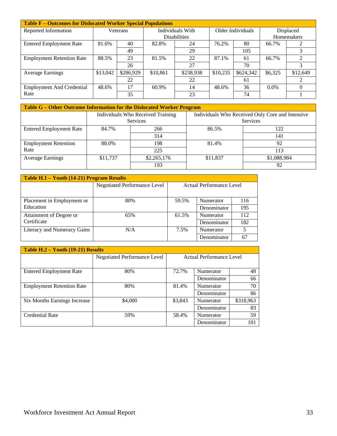| <b>Table F – Outcomes for Dislocated Worker Special Populations</b> |          |           |                     |           |                   |           |            |                             |  |
|---------------------------------------------------------------------|----------|-----------|---------------------|-----------|-------------------|-----------|------------|-----------------------------|--|
| Reported Information                                                | Veterans |           | Individuals With    |           | Older Individuals |           | Displaced  |                             |  |
|                                                                     |          |           | <b>Disabilities</b> |           |                   |           | Homemakers |                             |  |
| <b>Entered Employment Rate</b>                                      | 81.6%    | 40        | 82.8%               | 24        | 76.2%             | 80        | 66.7%      |                             |  |
|                                                                     |          | 49        |                     | 29        |                   | 105       |            |                             |  |
| <b>Employment Retention Rate</b>                                    | 88.5%    | 23        | 81.5%               | 22        | 87.1%             | 61        | 66.7%      | $\mathcal{D}_{\mathcal{L}}$ |  |
|                                                                     |          | 26        |                     | 27        |                   | 70        |            | 3                           |  |
| <b>Average Earnings</b>                                             | \$13,042 | \$286,929 | \$10,861            | \$238,938 | \$10,235          | \$624,342 | \$6,325    | \$12,649                    |  |
|                                                                     |          | 22        |                     | 22        |                   | 61        |            |                             |  |
| <b>Employment And Credential</b>                                    | 48.6%    | 17        | 60.9%               | 14        | 48.6%             | 36        | $0.0\%$    | 0                           |  |
| Rate                                                                |          | 35        |                     | 23        |                   | 74        |            |                             |  |

| Table G – Other Outcome Information for the Dislocated Worker Program |          |                                   |          |                                                  |  |  |  |
|-----------------------------------------------------------------------|----------|-----------------------------------|----------|--------------------------------------------------|--|--|--|
|                                                                       |          | Individuals Who Received Training |          | Individuals Who Received Only Core and Intensive |  |  |  |
|                                                                       |          | <b>Services</b>                   |          | <b>Services</b>                                  |  |  |  |
| <b>Entered Employment Rate</b>                                        | 84.7%    | 266                               | 86.5%    | 122                                              |  |  |  |
|                                                                       |          | 314                               |          | 141                                              |  |  |  |
| <b>Employment Retention</b>                                           | 88.0%    | 198                               | 81.4%    | 92                                               |  |  |  |
| Rate                                                                  |          | 225                               |          | 113                                              |  |  |  |
| <b>Average Earnings</b>                                               | \$11,737 | \$2,265,176                       | \$11,837 | \$1,088,984                                      |  |  |  |
|                                                                       |          | 193                               |          | 92                                               |  |  |  |

| <b>Table H.1 – Youth (14-21) Program Results</b> |                                     |                          |             |     |  |  |  |  |
|--------------------------------------------------|-------------------------------------|--------------------------|-------------|-----|--|--|--|--|
|                                                  | <b>Negotiated Performance Level</b> | Actual Performance Level |             |     |  |  |  |  |
|                                                  |                                     |                          |             |     |  |  |  |  |
| Placement in Employment or                       | 80%                                 | 59.5%                    | Numerator   | 116 |  |  |  |  |
| Education                                        |                                     |                          | Denominator | 195 |  |  |  |  |
| Attainment of Degree or                          | 65%                                 | 61.5%                    | Numerator   | 112 |  |  |  |  |
| Certificate                                      |                                     |                          | Denominator | 182 |  |  |  |  |
| Literacy and Numeracy Gains                      | N/A                                 | 7.5%                     | Numerator   | 5   |  |  |  |  |
|                                                  |                                     |                          | Denominator | 67  |  |  |  |  |

| Table H.2 - Youth (19-21) Results |                                     |                          |             |           |  |  |  |  |
|-----------------------------------|-------------------------------------|--------------------------|-------------|-----------|--|--|--|--|
|                                   | <b>Negotiated Performance Level</b> | Actual Performance Level |             |           |  |  |  |  |
| <b>Entered Employment Rate</b>    | 80%                                 | 72.7%                    | Numerator   | 48        |  |  |  |  |
|                                   |                                     |                          | Denominator | 66        |  |  |  |  |
| <b>Employment Retention Rate</b>  | 80%                                 | 81.4%                    | Numerator   | 70        |  |  |  |  |
|                                   |                                     |                          | Denominator | 86        |  |  |  |  |
| Six Months Earnings Increase      | \$4,000                             | \$3,843                  | Numerator   | \$318,963 |  |  |  |  |
|                                   |                                     |                          | Denominator | 83        |  |  |  |  |
| <b>Credential Rate</b>            | 59%                                 | 58.4%                    | Numerator   | 59        |  |  |  |  |
|                                   |                                     |                          | Denominator | 101       |  |  |  |  |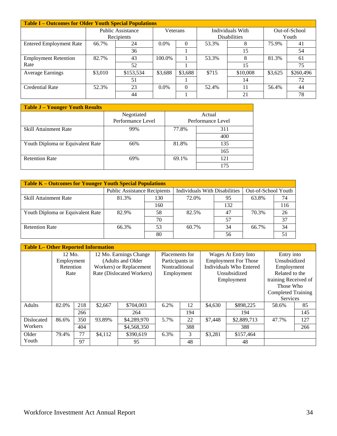| <b>Table I – Outcomes for Older Youth Special Populations</b> |         |                   |          |          |       |                     |         |               |
|---------------------------------------------------------------|---------|-------------------|----------|----------|-------|---------------------|---------|---------------|
|                                                               |         | Public Assistance | Veterans |          |       | Individuals With    |         | Out-of-School |
|                                                               |         | Recipients        |          |          |       | <b>Disabilities</b> |         | Youth         |
| <b>Entered Employment Rate</b>                                | 66.7%   | 24                | $0.0\%$  |          | 53.3% |                     | 75.9%   | 41            |
|                                                               |         | 36                |          |          |       | 15                  |         | 54            |
| <b>Employment Retention</b>                                   | 82.7%   | 43                | 100.0%   |          | 53.3% |                     | 81.3%   | 61            |
| Rate                                                          |         | 52                |          |          |       | 15                  |         | 75            |
| <b>Average Earnings</b>                                       | \$3,010 | \$153,534         | \$3,688  | \$3,688  | \$715 | \$10,008            | \$3,625 | \$260,496     |
|                                                               |         | 51                |          |          |       | 14                  |         | 72            |
| Credential Rate                                               | 52.3%   | 23                | $0.0\%$  | $\theta$ | 52.4% |                     | 56.4%   | 44            |
|                                                               |         | 44                |          |          |       | 21                  |         | 78            |

| <b>Table J - Younger Youth Results</b> |                                 |       |                             |  |  |  |  |  |
|----------------------------------------|---------------------------------|-------|-----------------------------|--|--|--|--|--|
|                                        | Negotiated<br>Performance Level |       | Actual<br>Performance Level |  |  |  |  |  |
| Skill Attainment Rate                  | 99%                             | 77.8% | 311                         |  |  |  |  |  |
|                                        |                                 |       | 400                         |  |  |  |  |  |
| Youth Diploma or Equivalent Rate       | 66%                             | 81.8% | 135                         |  |  |  |  |  |
|                                        |                                 |       | 165                         |  |  |  |  |  |
| <b>Retention Rate</b>                  | 69%                             | 69.1% | 121                         |  |  |  |  |  |
|                                        |                                 |       | 175                         |  |  |  |  |  |

| <b>Table K - Outcomes for Younger Youth Special Populations</b> |                                     |     |                               |     |                     |     |  |  |  |
|-----------------------------------------------------------------|-------------------------------------|-----|-------------------------------|-----|---------------------|-----|--|--|--|
|                                                                 | <b>Public Assistance Recipients</b> |     | Individuals With Disabilities |     | Out-of-School Youth |     |  |  |  |
| Skill Attainment Rate                                           | 81.3%                               | 130 | 72.0%                         | 95  | 63.8%               | 74  |  |  |  |
|                                                                 |                                     | 160 |                               | 132 |                     | 116 |  |  |  |
| Youth Diploma or Equivalent Rate                                | 82.9%                               | 58  | 82.5%                         | 47  | 70.3%               | 26  |  |  |  |
|                                                                 |                                     | 70  |                               | 57  |                     | 37  |  |  |  |
| <b>Retention Rate</b>                                           | 66.3%                               | 53  | 60.7%                         | 34  | 66.7%               | 34  |  |  |  |
|                                                                 |                                     | 80  |                               | 56  |                     |     |  |  |  |

| <b>Table L- Other Reported Information</b> |            |     |         |                           |                                                  |     |              |                             |                           |     |
|--------------------------------------------|------------|-----|---------|---------------------------|--------------------------------------------------|-----|--------------|-----------------------------|---------------------------|-----|
|                                            | 12 Mo.     |     |         | 12 Mo. Earnings Change    | Placements for                                   |     |              | Wages At Entry Into         | Entry into                |     |
|                                            | Employment |     |         | (Adults and Older)        | Participants in                                  |     |              | <b>Employment For Those</b> | Unsubsidized              |     |
|                                            | Retention  |     |         | Workers) or Replacement   | <b>Individuals Who Entered</b><br>Nontraditional |     |              | Employment                  |                           |     |
|                                            | Rate       |     |         | Rate (Dislocated Workers) | Employment                                       |     | Unsubsidized |                             | Related to the            |     |
|                                            |            |     |         |                           |                                                  |     |              | Employment                  | training Received of      |     |
|                                            |            |     |         |                           |                                                  |     |              |                             | Those Who                 |     |
|                                            |            |     |         |                           |                                                  |     |              |                             | <b>Completed Training</b> |     |
|                                            |            |     |         |                           |                                                  |     |              |                             | Services                  |     |
| Adults                                     | 82.0%      | 218 | \$2,667 | \$704,003                 | 6.2%                                             | 12  | \$4,630      | \$898,225                   | 58.6%                     | 85  |
|                                            |            | 266 |         | 264                       |                                                  | 194 |              | 194                         |                           | 145 |
| Dislocated                                 | 86.6%      | 350 | 93.89%  | \$4,289,970               | 5.7%                                             | 22  | \$7,448      | \$2,889,713                 | 47.7%                     | 127 |
| Workers                                    |            | 404 |         | \$4,568,350               |                                                  | 388 |              | 388                         |                           | 266 |
| Older                                      | 79.4%      | 77  | \$4,112 | \$390.619                 | 6.3%                                             | 3   | \$3,281      | \$157,464                   |                           |     |
| Youth                                      |            | 97  |         | 95                        |                                                  | 48  |              | 48                          |                           |     |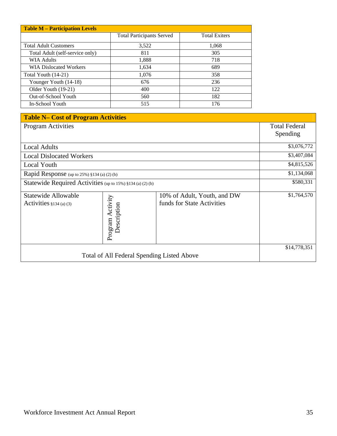| <b>Table M - Participation Levels</b> |                                  |                      |  |  |  |  |
|---------------------------------------|----------------------------------|----------------------|--|--|--|--|
|                                       | <b>Total Participants Served</b> | <b>Total Exiters</b> |  |  |  |  |
| <b>Total Adult Customers</b>          | 3,522                            | 1,068                |  |  |  |  |
| Total Adult (self-service only)       | 811                              | 305                  |  |  |  |  |
| <b>WIA Adults</b>                     | 1,888                            | 718                  |  |  |  |  |
| <b>WIA Dislocated Workers</b>         | 1,634                            | 689                  |  |  |  |  |
| Total Youth (14-21)                   | 1,076                            | 358                  |  |  |  |  |
| Younger Youth (14-18)                 | 676                              | 236                  |  |  |  |  |
| Older Youth (19-21)                   | 400                              | 122                  |  |  |  |  |
| Out-of-School Youth                   | 560                              | 182                  |  |  |  |  |
| In-School Youth                       | 515                              | 176                  |  |  |  |  |

| <b>Table N- Cost of Program Activities</b>                 |                                 |                                                           |                      |  |
|------------------------------------------------------------|---------------------------------|-----------------------------------------------------------|----------------------|--|
| <b>Program Activities</b>                                  |                                 |                                                           | <b>Total Federal</b> |  |
|                                                            |                                 |                                                           | Spending             |  |
| <b>Local Adults</b>                                        |                                 |                                                           | \$3,076,772          |  |
| <b>Local Dislocated Workers</b>                            |                                 |                                                           | \$3,407,084          |  |
| <b>Local Youth</b>                                         |                                 |                                                           | \$4,815,526          |  |
| Rapid Response (up to 25%) §134 (a) (2) (b)                |                                 |                                                           | \$1,134,068          |  |
| Statewide Required Activities (up to 15%) §134 (a) (2) (b) |                                 |                                                           | \$580,331            |  |
| <b>Statewide Allowable</b><br>Activities $§134$ (a) (3)    | Program Activity<br>Description | 10% of Adult, Youth, and DW<br>funds for State Activities | \$1,764,570          |  |
| Total of All Federal Spending Listed Above                 |                                 |                                                           | \$14,778,351         |  |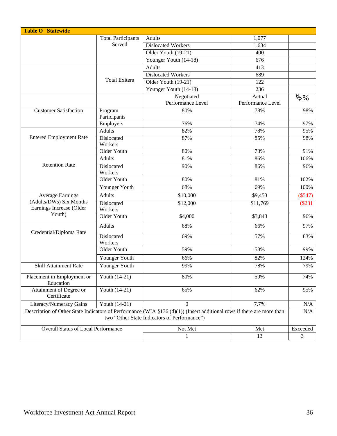| <b>Table O Statewide</b>                                                                                                                                                  |                           |                           |                   |                  |
|---------------------------------------------------------------------------------------------------------------------------------------------------------------------------|---------------------------|---------------------------|-------------------|------------------|
|                                                                                                                                                                           | <b>Total Participants</b> | <b>Adults</b>             | 1,077             |                  |
|                                                                                                                                                                           | Served                    | <b>Dislocated Workers</b> | 1,634             |                  |
|                                                                                                                                                                           |                           | Older Youth (19-21)       | 400               |                  |
|                                                                                                                                                                           |                           | Younger Youth (14-18)     | 676               |                  |
|                                                                                                                                                                           |                           | <b>Adults</b>             | 413               |                  |
|                                                                                                                                                                           |                           | <b>Dislocated Workers</b> | 689               |                  |
|                                                                                                                                                                           | <b>Total Exiters</b>      | Older Youth (19-21)       | 122               |                  |
|                                                                                                                                                                           |                           | Younger Youth (14-18)     | 236               |                  |
|                                                                                                                                                                           |                           | Negotiated                | Actual            | $\mathfrak{B}$ % |
|                                                                                                                                                                           |                           | Performance Level         | Performance Level |                  |
| <b>Customer Satisfaction</b>                                                                                                                                              | Program<br>Participants   | 80%                       | 78%               | 98%              |
|                                                                                                                                                                           | Employers                 | 76%                       | 74%               | 97%              |
|                                                                                                                                                                           | <b>Adults</b>             | 82%                       | 78%               | 95%              |
| <b>Entered Employment Rate</b>                                                                                                                                            | Dislocated<br>Workers     | 87%                       | 85%               | 98%              |
|                                                                                                                                                                           | Older Youth               | 80%                       | 73%               | 91%              |
|                                                                                                                                                                           | Adults                    | 81%                       | 86%               | 106%             |
| <b>Retention Rate</b>                                                                                                                                                     | Dislocated<br>Workers     | 90%                       | 86%               | 96%              |
|                                                                                                                                                                           | Older Youth               | 80%                       | 81%               | 102%             |
|                                                                                                                                                                           | Younger Youth             | 68%                       | 69%               | 100%             |
| <b>Average Earnings</b>                                                                                                                                                   | <b>Adults</b>             | \$10,000                  | \$9,453           | $(\$547)$        |
| (Adults/DWs) Six Months<br>Earnings Increase (Older<br>Youth)                                                                                                             | Dislocated<br>Workers     | \$12,000                  | \$11,769          | (\$231           |
|                                                                                                                                                                           | Older Youth               | \$4,000                   | \$3,843           | 96%              |
|                                                                                                                                                                           | Adults                    | 68%                       | 66%               | 97%              |
| Credential/Diploma Rate                                                                                                                                                   | Dislocated<br>Workers     | 69%                       | 57%               | 83%              |
|                                                                                                                                                                           | Older Youth               | 59%                       | 58%               | 99%              |
|                                                                                                                                                                           | Younger Youth             | 66%                       | 82%               | 124%             |
| <b>Skill Attainment Rate</b>                                                                                                                                              | Younger Youth             | 99%                       | 78%               | 79%              |
| Placement in Employment or<br>Education                                                                                                                                   | Youth (14-21)             | 80%                       | 59%               | 74%              |
| Attainment of Degree or<br>Certificate                                                                                                                                    | Youth (14-21)             | 65%                       | 62%               | 95%              |
| Literacy/Numeracy Gains<br>$\mathbf{0}$<br>7.7%<br>Youth (14-21)                                                                                                          |                           |                           |                   |                  |
| Description of Other State Indicators of Performance (WIA $\S$ 136 (d)(1)) (Insert additional rows if there are more than<br>two "Other State Indicators of Performance") |                           |                           |                   |                  |
| <b>Overall Status of Local Performance</b>                                                                                                                                |                           | Not Met                   | Met               | Exceeded         |
|                                                                                                                                                                           |                           | $\mathbf{1}$              | 13                | 3                |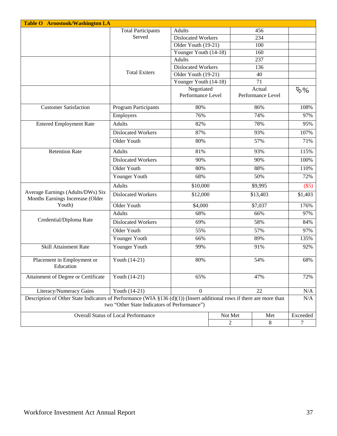| <b>Table O</b> Aroostook/Washington LA                                                                                                                                    |                                                                            |                                 |         |                             |                              |  |
|---------------------------------------------------------------------------------------------------------------------------------------------------------------------------|----------------------------------------------------------------------------|---------------------------------|---------|-----------------------------|------------------------------|--|
|                                                                                                                                                                           | <b>Total Participants</b><br>Adults<br>Served<br><b>Dislocated Workers</b> |                                 |         | 456                         |                              |  |
|                                                                                                                                                                           |                                                                            |                                 |         | 234                         |                              |  |
|                                                                                                                                                                           |                                                                            | Older Youth (19-21)             |         | 100                         |                              |  |
|                                                                                                                                                                           |                                                                            | Younger Youth (14-18)           |         | 160                         |                              |  |
|                                                                                                                                                                           |                                                                            | <b>Adults</b>                   |         | 237                         |                              |  |
|                                                                                                                                                                           | <b>Total Exiters</b>                                                       | <b>Dislocated Workers</b>       |         | 136                         |                              |  |
|                                                                                                                                                                           |                                                                            | Older Youth $(19-21)$           |         | 40                          |                              |  |
|                                                                                                                                                                           |                                                                            | Younger Youth (14-18)           |         | 71                          |                              |  |
|                                                                                                                                                                           |                                                                            | Negotiated<br>Performance Level |         | Actual<br>Performance Level | $\mathfrak{B}_{\mathcal{A}}$ |  |
| <b>Customer Satisfaction</b>                                                                                                                                              | Program Participants                                                       | 80%                             |         | 86%                         | 108%                         |  |
|                                                                                                                                                                           | Employers                                                                  | 76%                             |         | 74%                         | 97%                          |  |
| <b>Entered Employment Rate</b>                                                                                                                                            | <b>Adults</b>                                                              | 82%                             |         | 78%                         | 95%                          |  |
|                                                                                                                                                                           | <b>Dislocated Workers</b>                                                  | 87%                             |         | 93%                         | 107%                         |  |
|                                                                                                                                                                           | Older Youth                                                                | 80%                             |         | 57%                         | 71%                          |  |
| <b>Retention Rate</b>                                                                                                                                                     | <b>Adults</b>                                                              | 81%                             |         | 93%                         | 115%                         |  |
|                                                                                                                                                                           | <b>Dislocated Workers</b>                                                  | 90%                             |         | 90%                         | 100%                         |  |
|                                                                                                                                                                           | Older Youth                                                                | 80%                             |         | 88%                         | 110%                         |  |
|                                                                                                                                                                           | Younger Youth                                                              | 68%                             |         | 50%                         | 72%                          |  |
|                                                                                                                                                                           | <b>Adults</b>                                                              | \$10,000                        |         | \$9,995                     | (\$5)                        |  |
| Average Earnings (Adults/DWs) Six<br>Months Earnings Incerease (Older                                                                                                     | <b>Dislocated Workers</b>                                                  | \$12,000                        |         | \$13,403                    | \$1,403                      |  |
| Youth)                                                                                                                                                                    | Older Youth                                                                | \$4,000                         |         | \$7,037                     | 176%                         |  |
|                                                                                                                                                                           | Adults                                                                     | 68%                             |         | 66%                         | 97%                          |  |
| Credential/Diploma Rate                                                                                                                                                   | <b>Dislocated Workers</b>                                                  | 69%                             |         | 58%                         | 84%                          |  |
|                                                                                                                                                                           | Older Youth                                                                | 55%                             |         | 57%                         | 97%                          |  |
|                                                                                                                                                                           | Younger Youth                                                              | 66%                             |         | 89%                         |                              |  |
| <b>Skill Attainment Rate</b>                                                                                                                                              | Younger Youth                                                              | 99%                             |         | 91%                         | 92%                          |  |
| Placement in Employment or<br>Education                                                                                                                                   | Youth (14-21)                                                              | 80%                             |         | 54%                         |                              |  |
| Attainment of Degree or Certificate                                                                                                                                       | Youth (14-21)                                                              | 65%                             |         | 47%                         |                              |  |
| Literacy/Numeracy Gains                                                                                                                                                   | Youth (14-21)                                                              | $\overline{0}$                  | 22      |                             | N/A                          |  |
| Description of Other State Indicators of Performance (WIA $\S 136$ (d)(1)) (Insert additional rows if there are more than<br>two "Other State Indicators of Performance") |                                                                            |                                 |         |                             | N/A                          |  |
|                                                                                                                                                                           | <b>Overall Status of Local Performance</b>                                 |                                 | Not Met | Met                         | Exceeded                     |  |
|                                                                                                                                                                           |                                                                            |                                 | 2       | 8                           | 7                            |  |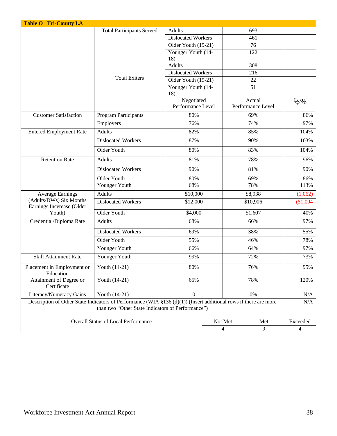| <b>Table O Tri-County LA</b>                                                                                                                                              |                                            |                                 |     |                             |                     |
|---------------------------------------------------------------------------------------------------------------------------------------------------------------------------|--------------------------------------------|---------------------------------|-----|-----------------------------|---------------------|
| <b>Total Participants Served</b>                                                                                                                                          |                                            | <b>Adults</b>                   |     | 693                         |                     |
|                                                                                                                                                                           |                                            | <b>Dislocated Workers</b>       |     | 461                         |                     |
|                                                                                                                                                                           |                                            | Older Youth (19-21)             |     | 76                          |                     |
|                                                                                                                                                                           |                                            | Younger Youth (14-<br>18)       |     | 122                         |                     |
|                                                                                                                                                                           |                                            | <b>Adults</b>                   |     | 308                         |                     |
|                                                                                                                                                                           |                                            | <b>Dislocated Workers</b>       |     | 216                         |                     |
|                                                                                                                                                                           | <b>Total Exiters</b>                       | Older Youth (19-21)             |     | 22                          |                     |
|                                                                                                                                                                           |                                            | Younger Youth (14-<br>18)       |     | $\overline{51}$             |                     |
|                                                                                                                                                                           |                                            | Negotiated<br>Performance Level |     | Actual<br>Performance Level | $\mathfrak{B}_{\%}$ |
| <b>Customer Satisfaction</b>                                                                                                                                              | <b>Program Participants</b>                | 80%<br>69%                      |     |                             | 86%                 |
|                                                                                                                                                                           | Employers                                  | 76%                             |     | 74%                         | 97%                 |
| <b>Entered Employment Rate</b>                                                                                                                                            | Adults                                     | 82%                             |     | 85%                         | 104%                |
|                                                                                                                                                                           | <b>Dislocated Workers</b>                  | 87%                             |     | 90%                         | 103%                |
|                                                                                                                                                                           | Older Youth                                | 80%                             |     | 83%                         | 104%                |
| <b>Retention Rate</b>                                                                                                                                                     | Adults                                     | 81%                             |     | 78%                         | 96%                 |
|                                                                                                                                                                           | <b>Dislocated Workers</b>                  | 90%                             |     | 81%                         | 90%                 |
|                                                                                                                                                                           | Older Youth                                | 80%                             |     | 69%                         | 86%                 |
|                                                                                                                                                                           | Younger Youth                              | 68%                             |     | 78%                         | 113%                |
| <b>Average Earnings</b>                                                                                                                                                   | <b>Adults</b>                              | \$10,000                        |     | \$8,938                     | (1,062)             |
| (Adults/DWs) Six Months<br>Earnings Incerease (Older                                                                                                                      | <b>Dislocated Workers</b>                  | \$12,000                        |     | \$10,906                    | \$1,094             |
| Youth)                                                                                                                                                                    | Older Youth                                | \$4,000                         |     | \$1,607                     | 40%                 |
| Credential/Diploma Rate                                                                                                                                                   | <b>Adults</b>                              | 68%                             |     | 66%                         | 97%                 |
|                                                                                                                                                                           | <b>Dislocated Workers</b>                  | 69%                             |     | 38%                         | 55%                 |
|                                                                                                                                                                           | Older Youth                                | 55%                             |     | 46%                         | 78%                 |
|                                                                                                                                                                           | Younger Youth                              | 66%                             |     | 64%                         | 97%                 |
| <b>Skill Attainment Rate</b>                                                                                                                                              | Younger Youth                              | 99%                             |     | 72%                         | 73%                 |
| Placement in Employment or<br>Education                                                                                                                                   | Youth (14-21)                              | 80%                             |     | 76%                         | 95%                 |
| Attainment of Degree or<br>Certificate                                                                                                                                    | Youth (14-21)                              | 65%                             |     | 78%                         | 120%                |
| Literacy/Numeracy Gains                                                                                                                                                   | $\boldsymbol{0}$<br>Youth (14-21)<br>$0\%$ |                                 |     | N/A                         |                     |
| Description of Other State Indicators of Performance (WIA $\S$ 136 (d)(1)) (Insert additional rows if there are more<br>than two "Other State Indicators of Performance") |                                            |                                 |     |                             |                     |
| <b>Overall Status of Local Performance</b><br>Not Met                                                                                                                     |                                            |                                 | Met | Exceeded                    |                     |
|                                                                                                                                                                           |                                            |                                 | 4   | 9                           | 4                   |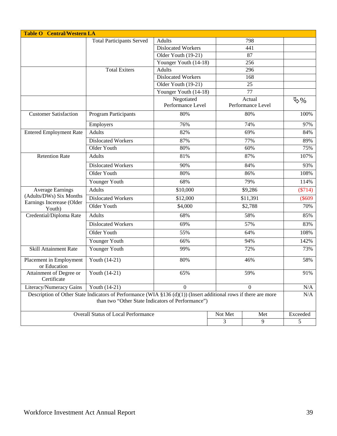| <b>Table O Central/Western LA</b>                                                                                                                                     |                                  |                                 |                       |                             |                  |  |
|-----------------------------------------------------------------------------------------------------------------------------------------------------------------------|----------------------------------|---------------------------------|-----------------------|-----------------------------|------------------|--|
|                                                                                                                                                                       | <b>Total Participants Served</b> | <b>Adults</b>                   |                       | 798                         |                  |  |
|                                                                                                                                                                       |                                  | <b>Dislocated Workers</b>       |                       | 441                         |                  |  |
|                                                                                                                                                                       |                                  | Older Youth (19-21)             |                       | 87                          |                  |  |
|                                                                                                                                                                       |                                  |                                 | Younger Youth (14-18) | 256                         |                  |  |
|                                                                                                                                                                       | <b>Total Exiters</b>             | <b>Adults</b>                   |                       | 296                         |                  |  |
|                                                                                                                                                                       |                                  | <b>Dislocated Workers</b>       |                       | 168                         |                  |  |
|                                                                                                                                                                       |                                  | Older Youth (19-21)             |                       | 25                          |                  |  |
|                                                                                                                                                                       |                                  | Younger Youth (14-18)           |                       | $\overline{77}$             |                  |  |
|                                                                                                                                                                       |                                  | Negotiated<br>Performance Level |                       | Actual<br>Performance Level | $\mathfrak{B}$ % |  |
| <b>Customer Satisfaction</b>                                                                                                                                          | Program Participants             | 80%                             |                       | 80%                         | 100%             |  |
|                                                                                                                                                                       | Employers                        | 76%                             |                       | 74%                         | 97%              |  |
| <b>Entered Employment Rate</b>                                                                                                                                        | <b>Adults</b>                    | 82%                             |                       | 69%                         | 84%              |  |
|                                                                                                                                                                       | <b>Dislocated Workers</b>        | 87%                             |                       | 77%                         | 89%              |  |
|                                                                                                                                                                       | Older Youth                      | 80%                             |                       | 60%                         | 75%              |  |
| <b>Retention Rate</b>                                                                                                                                                 | <b>Adults</b>                    | 81%                             |                       | 87%                         | 107%             |  |
|                                                                                                                                                                       | <b>Dislocated Workers</b>        | 90%                             |                       | 84%                         |                  |  |
|                                                                                                                                                                       | Older Youth                      | 80%                             |                       | 86%                         | 108%             |  |
|                                                                                                                                                                       | Younger Youth                    | 68%                             |                       | 79%                         |                  |  |
| <b>Average Earnings</b>                                                                                                                                               | <b>Adults</b>                    | \$10,000                        |                       | \$9,286                     | $(\$714)$        |  |
| (Adults/DWs) Six Months<br>Earnings Incerease (Older                                                                                                                  | <b>Dislocated Workers</b>        | \$12,000                        |                       | \$11,391                    |                  |  |
| Youth)                                                                                                                                                                | Older Youth                      | \$4,000                         |                       | \$2,788                     |                  |  |
| Credential/Diploma Rate                                                                                                                                               | <b>Adults</b>                    | 68%                             |                       | 58%                         | 85%              |  |
|                                                                                                                                                                       | Dislocated Workers               | 69%                             |                       | 57%                         |                  |  |
|                                                                                                                                                                       | Older Youth                      | 55%                             |                       | 64%                         | 108%             |  |
|                                                                                                                                                                       | Younger Youth                    | 66%                             |                       | 94%                         |                  |  |
| <b>Skill Attainment Rate</b>                                                                                                                                          | Younger Youth                    | 99%                             |                       | 72%                         |                  |  |
| Placement in Employment<br>or Education                                                                                                                               | Youth (14-21)                    | 80%                             |                       | 46%                         | 58%              |  |
| Attainment of Degree or<br>Certificate                                                                                                                                | Youth (14-21)                    | 65%                             |                       | 59%                         | 91%              |  |
| Literacy/Numeracy Gains                                                                                                                                               | Youth (14-21)                    | $\Omega$                        | 0                     |                             | N/A              |  |
| Description of Other State Indicators of Performance (WIA §136 (d)(1)) (Insert additional rows if there are more<br>than two "Other State Indicators of Performance") |                                  |                                 |                       |                             | N/A              |  |
| <b>Overall Status of Local Performance</b>                                                                                                                            |                                  |                                 | Not Met               | Met                         | Exceeded         |  |
|                                                                                                                                                                       |                                  |                                 | $\mathfrak{Z}$        | 9                           | 5                |  |